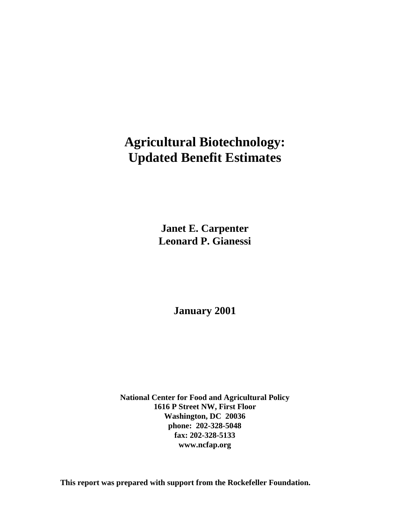# **Agricultural Biotechnology: Updated Benefit Estimates**

**Janet E. Carpenter Leonard P. Gianessi**

**January 2001**

**National Center for Food and Agricultural Policy 1616 P Street NW, First Floor Washington, DC 20036 phone: 202-328-5048 fax: 202-328-5133 www.ncfap.org**

**This report was prepared with support from the Rockefeller Foundation.**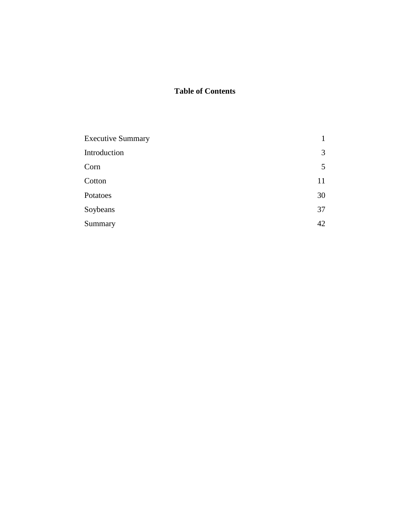# **Table of Contents**

| <b>Executive Summary</b> |    |
|--------------------------|----|
| Introduction             | 3  |
| Corn                     |    |
| Cotton                   | 11 |
| Potatoes                 | 30 |
| Soybeans                 | 37 |
| Summary                  | 42 |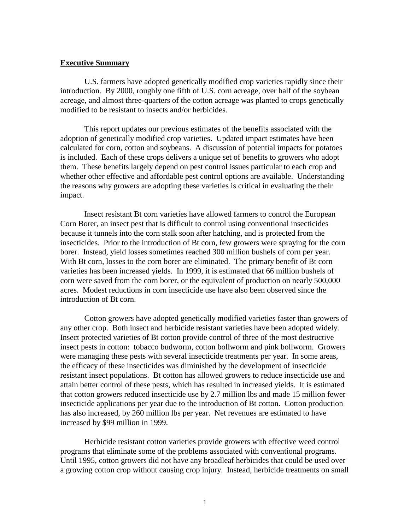### **Executive Summary**

U.S. farmers have adopted genetically modified crop varieties rapidly since their introduction. By 2000, roughly one fifth of U.S. corn acreage, over half of the soybean acreage, and almost three-quarters of the cotton acreage was planted to crops genetically modified to be resistant to insects and/or herbicides.

This report updates our previous estimates of the benefits associated with the adoption of genetically modified crop varieties. Updated impact estimates have been calculated for corn, cotton and soybeans. A discussion of potential impacts for potatoes is included. Each of these crops delivers a unique set of benefits to growers who adopt them. These benefits largely depend on pest control issues particular to each crop and whether other effective and affordable pest control options are available. Understanding the reasons why growers are adopting these varieties is critical in evaluating the their impact.

Insect resistant Bt corn varieties have allowed farmers to control the European Corn Borer, an insect pest that is difficult to control using conventional insecticides because it tunnels into the corn stalk soon after hatching, and is protected from the insecticides. Prior to the introduction of Bt corn, few growers were spraying for the corn borer. Instead, yield losses sometimes reached 300 million bushels of corn per year. With Bt corn, losses to the corn borer are eliminated. The primary benefit of Bt corn varieties has been increased yields. In 1999, it is estimated that 66 million bushels of corn were saved from the corn borer, or the equivalent of production on nearly 500,000 acres. Modest reductions in corn insecticide use have also been observed since the introduction of Bt corn.

Cotton growers have adopted genetically modified varieties faster than growers of any other crop. Both insect and herbicide resistant varieties have been adopted widely. Insect protected varieties of Bt cotton provide control of three of the most destructive insect pests in cotton: tobacco budworm, cotton bollworm and pink bollworm. Growers were managing these pests with several insecticide treatments per year. In some areas, the efficacy of these insecticides was diminished by the development of insecticide resistant insect populations. Bt cotton has allowed growers to reduce insecticide use and attain better control of these pests, which has resulted in increased yields. It is estimated that cotton growers reduced insecticide use by 2.7 million lbs and made 15 million fewer insecticide applications per year due to the introduction of Bt cotton. Cotton production has also increased, by 260 million lbs per year. Net revenues are estimated to have increased by \$99 million in 1999.

Herbicide resistant cotton varieties provide growers with effective weed control programs that eliminate some of the problems associated with conventional programs. Until 1995, cotton growers did not have any broadleaf herbicides that could be used over a growing cotton crop without causing crop injury. Instead, herbicide treatments on small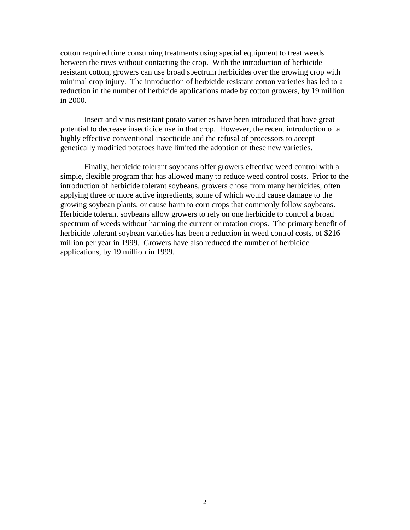cotton required time consuming treatments using special equipment to treat weeds between the rows without contacting the crop. With the introduction of herbicide resistant cotton, growers can use broad spectrum herbicides over the growing crop with minimal crop injury. The introduction of herbicide resistant cotton varieties has led to a reduction in the number of herbicide applications made by cotton growers, by 19 million in 2000.

Insect and virus resistant potato varieties have been introduced that have great potential to decrease insecticide use in that crop. However, the recent introduction of a highly effective conventional insecticide and the refusal of processors to accept genetically modified potatoes have limited the adoption of these new varieties.

Finally, herbicide tolerant soybeans offer growers effective weed control with a simple, flexible program that has allowed many to reduce weed control costs. Prior to the introduction of herbicide tolerant soybeans, growers chose from many herbicides, often applying three or more active ingredients, some of which would cause damage to the growing soybean plants, or cause harm to corn crops that commonly follow soybeans. Herbicide tolerant soybeans allow growers to rely on one herbicide to control a broad spectrum of weeds without harming the current or rotation crops. The primary benefit of herbicide tolerant soybean varieties has been a reduction in weed control costs, of \$216 million per year in 1999. Growers have also reduced the number of herbicide applications, by 19 million in 1999.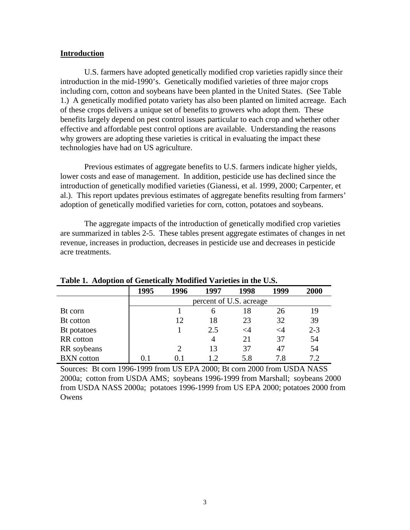### **Introduction**

U.S. farmers have adopted genetically modified crop varieties rapidly since their introduction in the mid-1990's. Genetically modified varieties of three major crops including corn, cotton and soybeans have been planted in the United States. (See Table 1.) A genetically modified potato variety has also been planted on limited acreage. Each of these crops delivers a unique set of benefits to growers who adopt them. These benefits largely depend on pest control issues particular to each crop and whether other effective and affordable pest control options are available. Understanding the reasons why growers are adopting these varieties is critical in evaluating the impact these technologies have had on US agriculture.

Previous estimates of aggregate benefits to U.S. farmers indicate higher yields, lower costs and ease of management. In addition, pesticide use has declined since the introduction of genetically modified varieties (Gianessi, et al. 1999, 2000; Carpenter, et al.). This report updates previous estimates of aggregate benefits resulting from farmers' adoption of genetically modified varieties for corn, cotton, potatoes and soybeans.

The aggregate impacts of the introduction of genetically modified crop varieties are summarized in tables 2-5. These tables present aggregate estimates of changes in net revenue, increases in production, decreases in pesticide use and decreases in pesticide acre treatments.

| Table 1. Adoption of Generically modified varieties in the O.D. |                         |      |                |      |          |         |  |  |
|-----------------------------------------------------------------|-------------------------|------|----------------|------|----------|---------|--|--|
|                                                                 | 1995                    | 1996 | 1997           | 1998 | 1999     | 2000    |  |  |
|                                                                 | percent of U.S. acreage |      |                |      |          |         |  |  |
| Bt corn                                                         |                         |      | h              | 18   | 26       | 19      |  |  |
| Bt cotton                                                       |                         | 12   | 18             | 23   | 32       | 39      |  |  |
| Bt potatoes                                                     |                         |      | 2.5            | <4   | $\leq$ 4 | $2 - 3$ |  |  |
| <b>RR</b> cotton                                                |                         |      | $\overline{4}$ | 21   | 37       | 54      |  |  |
| RR soybeans                                                     |                         |      | 13             | 37   | 47       | 54      |  |  |
| <b>BXN</b> cotton                                               |                         | O 1  | 12             | 5.8  | 7.8      | 7.2     |  |  |

**Table 1. Adoption of Genetically Modified Varieties in the U.S.**

Sources: Bt corn 1996-1999 from US EPA 2000; Bt corn 2000 from USDA NASS 2000a; cotton from USDA AMS; soybeans 1996-1999 from Marshall; soybeans 2000 from USDA NASS 2000a; potatoes 1996-1999 from US EPA 2000; potatoes 2000 from **Owens**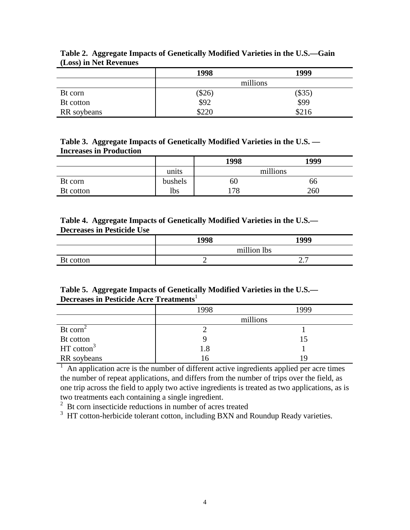|             | 1998     | 1999     |
|-------------|----------|----------|
|             |          | millions |
| Bt corn     | $(\$26)$ | $(\$35)$ |
| Bt cotton   | \$92     | \$99     |
| RR soybeans | \$220    | \$216    |

| Table 2. Aggregate Impacts of Genetically Modified Varieties in the U.S.—Gain |
|-------------------------------------------------------------------------------|
| (Loss) in Net Revenues                                                        |

## **Table 3. Aggregate Impacts of Genetically Modified Varieties in the U.S. — Increases in Production**

|           |            | 1998     | 1999 |
|-----------|------------|----------|------|
|           | units      | millions |      |
| Bt corn   | bushels    | 60       | 66   |
| Bt cotton | <b>lbs</b> | 178      | 260  |

# **Table 4. Aggregate Impacts of Genetically Modified Varieties in the U.S.— Decreases in Pesticide Use**

|           | 1998        | 1999               |
|-----------|-------------|--------------------|
|           | million lbs |                    |
| Bt cotton | ∽           | -<br>$\sim$<br>ن ک |

# **Table 5. Aggregate Impacts of Genetically Modified Varieties in the U.S.— Decreases in Pesticide Acre Treatments**<sup>1</sup>

|                               | 1998       | 1990     |
|-------------------------------|------------|----------|
|                               |            | millions |
| Bt $\text{corn}^2$            |            |          |
| Bt cotton                     |            |          |
| $HT \cot \theta$ <sup>3</sup> | 1.8        |          |
| RR soybeans                   | $\sqrt{2}$ |          |

 $<sup>1</sup>$  An application acre is the number of different active ingredients applied per acre times</sup> the number of repeat applications, and differs from the number of trips over the field, as one trip across the field to apply two active ingredients is treated as two applications, as is two treatments each containing a single ingredient.

<sup>2</sup> Bt corn insecticide reductions in number of acres treated

 $3$  HT cotton-herbicide tolerant cotton, including BXN and Roundup Ready varieties.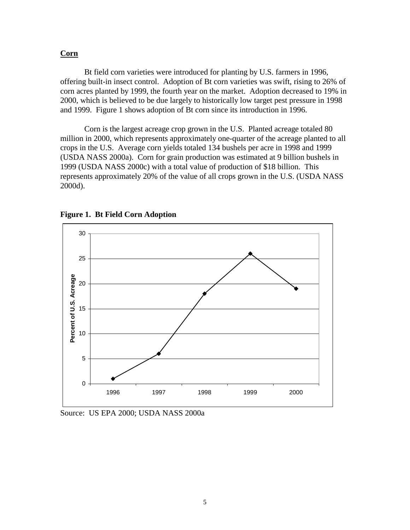### **Corn**

Bt field corn varieties were introduced for planting by U.S. farmers in 1996, offering built-in insect control. Adoption of Bt corn varieties was swift, rising to 26% of corn acres planted by 1999, the fourth year on the market. Adoption decreased to 19% in 2000, which is believed to be due largely to historically low target pest pressure in 1998 and 1999. Figure 1 shows adoption of Bt corn since its introduction in 1996.

Corn is the largest acreage crop grown in the U.S. Planted acreage totaled 80 million in 2000, which represents approximately one-quarter of the acreage planted to all crops in the U.S. Average corn yields totaled 134 bushels per acre in 1998 and 1999 (USDA NASS 2000a). Corn for grain production was estimated at 9 billion bushels in 1999 (USDA NASS 2000c) with a total value of production of \$18 billion. This represents approximately 20% of the value of all crops grown in the U.S. (USDA NASS 2000d).



**Figure 1. Bt Field Corn Adoption**

Source: US EPA 2000; USDA NASS 2000a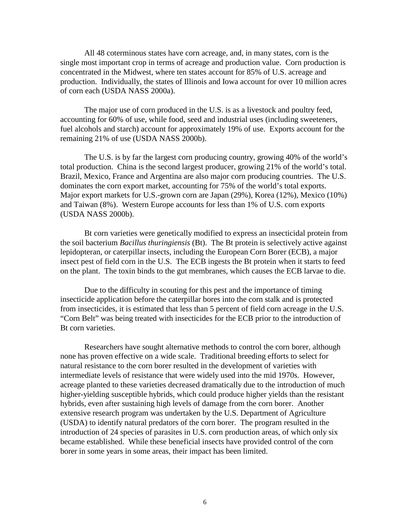All 48 coterminous states have corn acreage, and, in many states, corn is the single most important crop in terms of acreage and production value. Corn production is concentrated in the Midwest, where ten states account for 85% of U.S. acreage and production. Individually, the states of Illinois and Iowa account for over 10 million acres of corn each (USDA NASS 2000a).

The major use of corn produced in the U.S. is as a livestock and poultry feed, accounting for 60% of use, while food, seed and industrial uses (including sweeteners, fuel alcohols and starch) account for approximately 19% of use. Exports account for the remaining 21% of use (USDA NASS 2000b).

The U.S. is by far the largest corn producing country, growing 40% of the world's total production. China is the second largest producer, growing 21% of the world's total. Brazil, Mexico, France and Argentina are also major corn producing countries. The U.S. dominates the corn export market, accounting for 75% of the world's total exports. Major export markets for U.S.-grown corn are Japan (29%), Korea (12%), Mexico (10%) and Taiwan (8%). Western Europe accounts for less than 1% of U.S. corn exports (USDA NASS 2000b).

Bt corn varieties were genetically modified to express an insecticidal protein from the soil bacterium *Bacillus thuringiensis* (Bt). The Bt protein is selectively active against lepidopteran, or caterpillar insects, including the European Corn Borer (ECB), a major insect pest of field corn in the U.S. The ECB ingests the Bt protein when it starts to feed on the plant. The toxin binds to the gut membranes, which causes the ECB larvae to die.

Due to the difficulty in scouting for this pest and the importance of timing insecticide application before the caterpillar bores into the corn stalk and is protected from insecticides, it is estimated that less than 5 percent of field corn acreage in the U.S. "Corn Belt" was being treated with insecticides for the ECB prior to the introduction of Bt corn varieties.

Researchers have sought alternative methods to control the corn borer, although none has proven effective on a wide scale. Traditional breeding efforts to select for natural resistance to the corn borer resulted in the development of varieties with intermediate levels of resistance that were widely used into the mid 1970s. However, acreage planted to these varieties decreased dramatically due to the introduction of much higher-yielding susceptible hybrids, which could produce higher yields than the resistant hybrids, even after sustaining high levels of damage from the corn borer. Another extensive research program was undertaken by the U.S. Department of Agriculture (USDA) to identify natural predators of the corn borer. The program resulted in the introduction of 24 species of parasites in U.S. corn production areas, of which only six became established. While these beneficial insects have provided control of the corn borer in some years in some areas, their impact has been limited.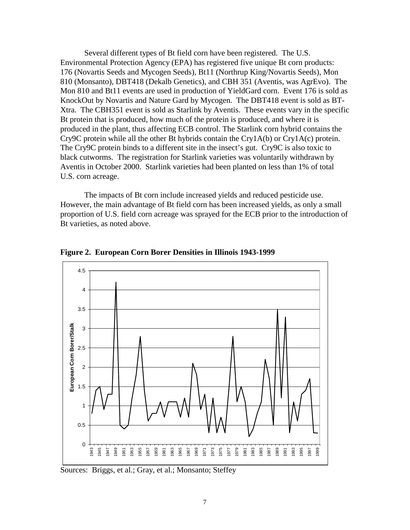Several different types of Bt field corn have been registered. The U.S. Environmental Protection Agency (EPA) has registered five unique Bt corn products: 176 (Novartis Seeds and Mycogen Seeds), Bt11 (Northrup King/Novartis Seeds), Mon 810 (Monsanto), DBT418 (Dekalb Genetics), and CBH 351 (Aventis, was AgrEvo). The Mon 810 and Bt11 events are used in production of YieldGard corn. Event 176 is sold as KnockOut by Novartis and Nature Gard by Mycogen. The DBT418 event is sold as BT-Xtra. The CBH351 event is sold as Starlink by Aventis. These events vary in the specific Bt protein that is produced, how much of the protein is produced, and where it is produced in the plant, thus affecting ECB control. The Starlink corn hybrid contains the Cry9C protein while all the other Bt hybrids contain the Cry1A(b) or Cry1A(c) protein. The Cry9C protein binds to a different site in the insect's gut. Cry9C is also toxic to black cutworms. The registration for Starlink varieties was voluntarily withdrawn by Aventis in October 2000. Starlink varieties had been planted on less than 1% of total U.S. corn acreage.

The impacts of Bt corn include increased yields and reduced pesticide use. However, the main advantage of Bt field corn has been increased yields, as only a small proportion of U.S. field corn acreage was sprayed for the ECB prior to the introduction of Bt varieties, as noted above.



**Figure 2. European Corn Borer Densities in Illinois 1943-1999**

Sources: Briggs, et al.; Gray, et al.; Monsanto; Steffey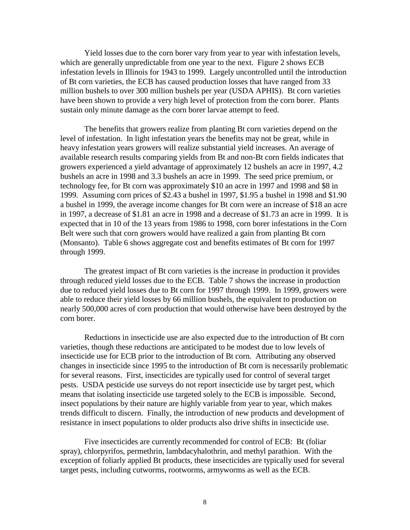Yield losses due to the corn borer vary from year to year with infestation levels, which are generally unpredictable from one year to the next. Figure 2 shows ECB infestation levels in Illinois for 1943 to 1999. Largely uncontrolled until the introduction of Bt corn varieties, the ECB has caused production losses that have ranged from 33 million bushels to over 300 million bushels per year (USDA APHIS). Bt corn varieties have been shown to provide a very high level of protection from the corn borer. Plants sustain only minute damage as the corn borer larvae attempt to feed.

The benefits that growers realize from planting Bt corn varieties depend on the level of infestation. In light infestation years the benefits may not be great, while in heavy infestation years growers will realize substantial yield increases. An average of available research results comparing yields from Bt and non-Bt corn fields indicates that growers experienced a yield advantage of approximately 12 bushels an acre in 1997, 4.2 bushels an acre in 1998 and 3.3 bushels an acre in 1999. The seed price premium, or technology fee, for Bt corn was approximately \$10 an acre in 1997 and 1998 and \$8 in 1999. Assuming corn prices of \$2.43 a bushel in 1997, \$1.95 a bushel in 1998 and \$1.90 a bushel in 1999, the average income changes for Bt corn were an increase of \$18 an acre in 1997, a decrease of \$1.81 an acre in 1998 and a decrease of \$1.73 an acre in 1999. It is expected that in 10 of the 13 years from 1986 to 1998, corn borer infestations in the Corn Belt were such that corn growers would have realized a gain from planting Bt corn (Monsanto). Table 6 shows aggregate cost and benefits estimates of Bt corn for 1997 through 1999.

The greatest impact of Bt corn varieties is the increase in production it provides through reduced yield losses due to the ECB. Table 7 shows the increase in production due to reduced yield losses due to Bt corn for 1997 through 1999. In 1999, growers were able to reduce their yield losses by 66 million bushels, the equivalent to production on nearly 500,000 acres of corn production that would otherwise have been destroyed by the corn borer.

Reductions in insecticide use are also expected due to the introduction of Bt corn varieties, though these reductions are anticipated to be modest due to low levels of insecticide use for ECB prior to the introduction of Bt corn. Attributing any observed changes in insecticide since 1995 to the introduction of Bt corn is necessarily problematic for several reasons. First, insecticides are typically used for control of several target pests. USDA pesticide use surveys do not report insecticide use by target pest, which means that isolating insecticide use targeted solely to the ECB is impossible. Second, insect populations by their nature are highly variable from year to year, which makes trends difficult to discern. Finally, the introduction of new products and development of resistance in insect populations to older products also drive shifts in insecticide use.

Five insecticides are currently recommended for control of ECB: Bt (foliar spray), chlorpyrifos, permethrin, lambdacyhalothrin, and methyl parathion. With the exception of foliarly applied Bt products, these insecticides are typically used for several target pests, including cutworms, rootworms, armyworms as well as the ECB.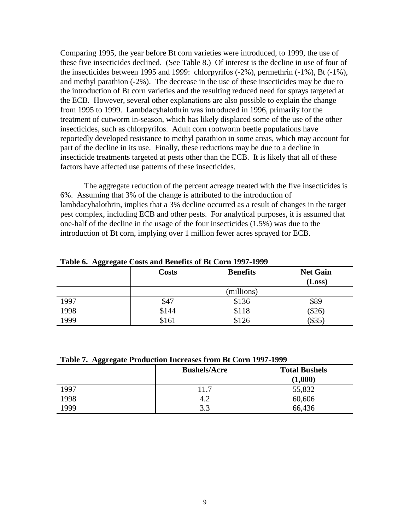Comparing 1995, the year before Bt corn varieties were introduced, to 1999, the use of these five insecticides declined. (See Table 8.) Of interest is the decline in use of four of the insecticides between 1995 and 1999: chlorpyrifos (-2%), permethrin (-1%), Bt (-1%), and methyl parathion (-2%). The decrease in the use of these insecticides may be due to the introduction of Bt corn varieties and the resulting reduced need for sprays targeted at the ECB. However, several other explanations are also possible to explain the change from 1995 to 1999. Lambdacyhalothrin was introduced in 1996, primarily for the treatment of cutworm in-season, which has likely displaced some of the use of the other insecticides, such as chlorpyrifos. Adult corn rootworm beetle populations have reportedly developed resistance to methyl parathion in some areas, which may account for part of the decline in its use. Finally, these reductions may be due to a decline in insecticide treatments targeted at pests other than the ECB. It is likely that all of these factors have affected use patterns of these insecticides.

The aggregate reduction of the percent acreage treated with the five insecticides is 6%. Assuming that 3% of the change is attributed to the introduction of lambdacyhalothrin, implies that a 3% decline occurred as a result of changes in the target pest complex, including ECB and other pests. For analytical purposes, it is assumed that one-half of the decline in the usage of the four insecticides (1.5%) was due to the introduction of Bt corn, implying over 1 million fewer acres sprayed for ECB.

| Table 0. Aggregate Costs and Denems of Dt Corn 1997-1999 |              |                 |          |  |  |  |  |
|----------------------------------------------------------|--------------|-----------------|----------|--|--|--|--|
|                                                          | <b>Costs</b> | <b>Benefits</b> |          |  |  |  |  |
|                                                          |              |                 | (Loss)   |  |  |  |  |
|                                                          |              | (millions)      |          |  |  |  |  |
| 1997                                                     | \$47         | \$136           | \$89     |  |  |  |  |
| 1998                                                     | \$144        | \$118           | $(\$26)$ |  |  |  |  |
| 1999                                                     | \$161        | \$126           | $(\$35)$ |  |  |  |  |

**Table 6. Aggregate Costs and Benefits of Bt Corn 1997-1999**

| Table 7. Aggregate Production Increases from Bt Corn 1997-1999 |                                             |         |  |  |  |  |  |
|----------------------------------------------------------------|---------------------------------------------|---------|--|--|--|--|--|
|                                                                | <b>Total Bushels</b><br><b>Bushels/Acre</b> |         |  |  |  |  |  |
|                                                                |                                             | (1.000) |  |  |  |  |  |
| 1997                                                           | 117                                         | 55,832  |  |  |  |  |  |

1998 4.2 60,606 1999 3.3 66,436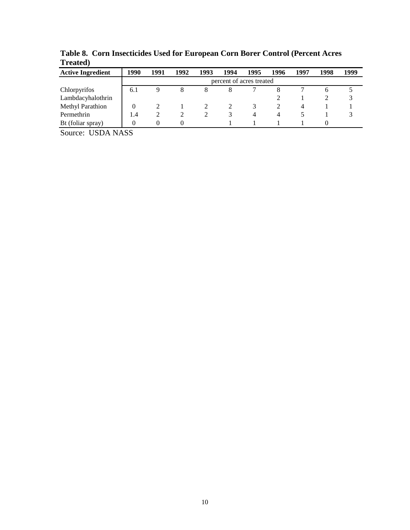| <b>Active Ingredient</b> | 1990 | 1991                     | 1992 | 1993 | 1994 | 1995 | 1996 | 1997 | 1998         | 1999 |
|--------------------------|------|--------------------------|------|------|------|------|------|------|--------------|------|
|                          |      | percent of acres treated |      |      |      |      |      |      |              |      |
| Chlorpyrifos             | 6.1  |                          | 8    | 8    | 8    |      | 8    |      | <sub>(</sub> |      |
| Lambdacyhalothrin        |      |                          |      |      |      |      |      |      |              |      |
| <b>Methyl Parathion</b>  |      |                          |      |      |      | 3    |      | 4    |              |      |
| Permethrin               | 1.4  |                          | 2    | 2    | 3    | 4    | 4    |      |              |      |
| Bt (foliar spray)        |      | 0                        |      |      |      |      |      |      |              |      |
| $\sim$<br>$-722$ $+7722$ |      |                          |      |      |      |      |      |      |              |      |

**Table 8. Corn Insecticides Used for European Corn Borer Control (Percent Acres Treated)**

Source: USDA NASS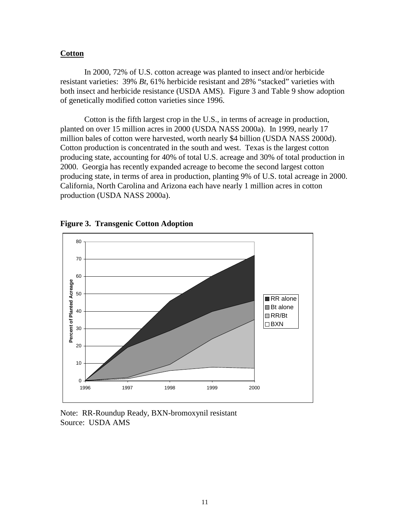### **Cotton**

In 2000, 72% of U.S. cotton acreage was planted to insect and/or herbicide resistant varieties: 39% *Bt*, 61% herbicide resistant and 28% "stacked" varieties with both insect and herbicide resistance (USDA AMS). Figure 3 and Table 9 show adoption of genetically modified cotton varieties since 1996.

Cotton is the fifth largest crop in the U.S., in terms of acreage in production, planted on over 15 million acres in 2000 (USDA NASS 2000a). In 1999, nearly 17 million bales of cotton were harvested, worth nearly \$4 billion (USDA NASS 2000d). Cotton production is concentrated in the south and west. Texas is the largest cotton producing state, accounting for 40% of total U.S. acreage and 30% of total production in 2000. Georgia has recently expanded acreage to become the second largest cotton producing state, in terms of area in production, planting 9% of U.S. total acreage in 2000. California, North Carolina and Arizona each have nearly 1 million acres in cotton production (USDA NASS 2000a).



**Figure 3. Transgenic Cotton Adoption**

Note: RR-Roundup Ready, BXN-bromoxynil resistant Source: USDA AMS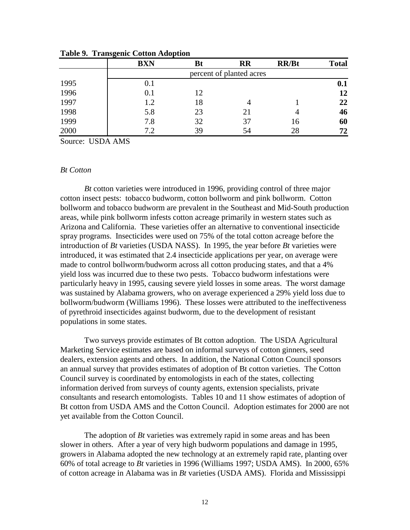|      | <b>BXN</b> | <b>Bt</b> | <b>RR</b>                | <b>RR/Bt</b> | <b>Total</b> |
|------|------------|-----------|--------------------------|--------------|--------------|
|      |            |           | percent of planted acres |              |              |
| 1995 | 0.1        |           |                          |              | 0.1          |
| 1996 | 0.1        | 12        |                          |              | 12           |
| 1997 | 1.2        | 18        |                          |              | 22           |
| 1998 | 5.8        | 23        | 21                       |              | 46           |
| 1999 | 7.8        | 32        | 37                       | 16           | 60           |
| 2000 | 7.2        | 39        | 54                       | 28           | 72           |

**Table 9. Transgenic Cotton Adoption**

Source: USDA AMS

#### *Bt Cotton*

*Bt* cotton varieties were introduced in 1996, providing control of three major cotton insect pests: tobacco budworm, cotton bollworm and pink bollworm. Cotton bollworm and tobacco budworm are prevalent in the Southeast and Mid-South production areas, while pink bollworm infests cotton acreage primarily in western states such as Arizona and California. These varieties offer an alternative to conventional insecticide spray programs. Insecticides were used on 75% of the total cotton acreage before the introduction of *Bt* varieties (USDA NASS). In 1995, the year before *Bt* varieties were introduced, it was estimated that 2.4 insecticide applications per year, on average were made to control bollworm/budworm across all cotton producing states, and that a 4% yield loss was incurred due to these two pests. Tobacco budworm infestations were particularly heavy in 1995, causing severe yield losses in some areas. The worst damage was sustained by Alabama growers, who on average experienced a 29% yield loss due to bollworm/budworm (Williams 1996). These losses were attributed to the ineffectiveness of pyrethroid insecticides against budworm, due to the development of resistant populations in some states.

Two surveys provide estimates of Bt cotton adoption. The USDA Agricultural Marketing Service estimates are based on informal surveys of cotton ginners, seed dealers, extension agents and others. In addition, the National Cotton Council sponsors an annual survey that provides estimates of adoption of Bt cotton varieties. The Cotton Council survey is coordinated by entomologists in each of the states, collecting information derived from surveys of county agents, extension specialists, private consultants and research entomologists. Tables 10 and 11 show estimates of adoption of Bt cotton from USDA AMS and the Cotton Council. Adoption estimates for 2000 are not yet available from the Cotton Council.

The adoption of *Bt* varieties was extremely rapid in some areas and has been slower in others. After a year of very high budworm populations and damage in 1995, growers in Alabama adopted the new technology at an extremely rapid rate, planting over 60% of total acreage to *Bt* varieties in 1996 (Williams 1997; USDA AMS). In 2000, 65% of cotton acreage in Alabama was in *Bt* varieties (USDA AMS). Florida and Mississippi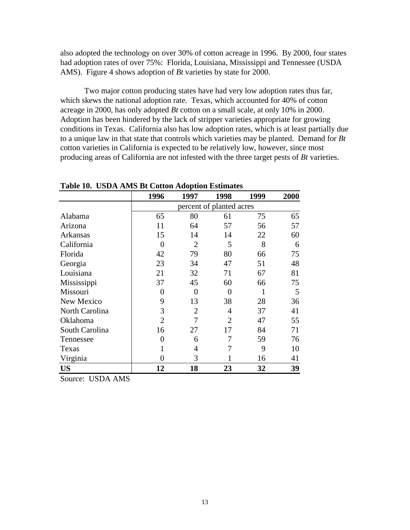also adopted the technology on over 30% of cotton acreage in 1996. By 2000, four states had adoption rates of over 75%: Florida, Louisiana, Mississippi and Tennessee (USDA AMS). Figure 4 shows adoption of *Bt* varieties by state for 2000.

Two major cotton producing states have had very low adoption rates thus far, which skews the national adoption rate. Texas, which accounted for 40% of cotton acreage in 2000, has only adopted *Bt* cotton on a small scale, at only 10% in 2000. Adoption has been hindered by the lack of stripper varieties appropriate for growing conditions in Texas. California also has low adoption rates, which is at least partially due to a unique law in that state that controls which varieties may be planted. Demand for *Bt* cotton varieties in California is expected to be relatively low, however, since most producing areas of California are not infested with the three target pests of *Bt* varieties.

|                 | 1996           | 1997                     | 1998           | 1999 | 2000 |  |  |  |
|-----------------|----------------|--------------------------|----------------|------|------|--|--|--|
|                 |                | percent of planted acres |                |      |      |  |  |  |
| Alabama         | 65             | 80                       | 61             | 75   | 65   |  |  |  |
| Arizona         | 11             | 64                       | 57             | 56   | 57   |  |  |  |
| <b>Arkansas</b> | 15             | 14                       | 14             | 22   | 60   |  |  |  |
| California      | $\theta$       | $\overline{2}$           | 5              | 8    | 6    |  |  |  |
| Florida         | 42             | 79                       | 80             | 66   | 75   |  |  |  |
| Georgia         | 23             | 34                       | 47             | 51   | 48   |  |  |  |
| Louisiana       | 21             | 32                       | 71             | 67   | 81   |  |  |  |
| Mississippi     | 37             | 45                       | 60             | 66   | 75   |  |  |  |
| Missouri        | 0              | $\Omega$                 | $\theta$       |      | 5    |  |  |  |
| New Mexico      | 9              | 13                       | 38             | 28   | 36   |  |  |  |
| North Carolina  | 3              | $\overline{2}$           | $\overline{4}$ | 37   | 41   |  |  |  |
| Oklahoma        | $\overline{2}$ | 7                        | $\overline{2}$ | 47   | 55   |  |  |  |
| South Carolina  | 16             | 27                       | 17             | 84   | 71   |  |  |  |
| Tennessee       | 0              | 6                        | 7              | 59   | 76   |  |  |  |
| Texas           |                | 4                        | 7              | 9    | 10   |  |  |  |
| Virginia        | 0              | 3                        |                | 16   | 41   |  |  |  |
| <b>US</b>       | 12             | 18                       | 23             | 32   | 39   |  |  |  |

**Table 10. USDA AMS Bt Cotton Adoption Estimates**

Source: USDA AMS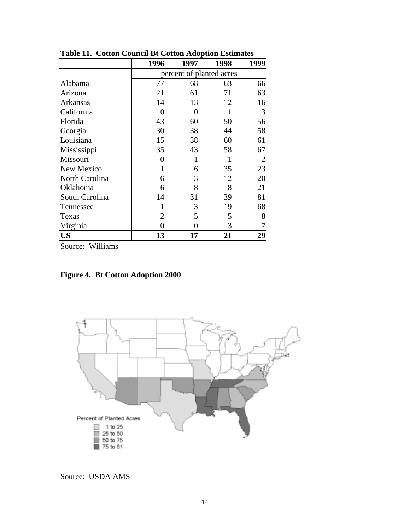|                 | 1996           | 1997 | 1998                     | 1999           |
|-----------------|----------------|------|--------------------------|----------------|
|                 |                |      | percent of planted acres |                |
| Alabama         | 77             | 68   | 63                       | 66             |
| Arizona         | 21             | 61   | 71                       | 63             |
| <b>Arkansas</b> | 14             | 13   | 12                       | 16             |
| California      | 0              | 0    | 1                        | 3              |
| Florida         | 43             | 60   | 50                       | 56             |
| Georgia         | 30             | 38   | 44                       | 58             |
| Louisiana       | 15             | 38   | 60                       | 61             |
| Mississippi     | 35             | 43   | 58                       | 67             |
| Missouri        | 0              | 1    |                          | $\overline{2}$ |
| New Mexico      | 1              | 6    | 35                       | 23             |
| North Carolina  | 6              | 3    | 12                       | 20             |
| Oklahoma        | 6              | 8    | 8                        | 21             |
| South Carolina  | 14             | 31   | 39                       | 81             |
| Tennessee       | 1              | 3    | 19                       | 68             |
| Texas           | $\overline{2}$ | 5    | 5                        | 8              |
| Virginia        | 0              | 0    | 3                        |                |
| <b>US</b>       | 13             | 17   | 21                       | 29             |

**Table 11. Cotton Council Bt Cotton Adoption Estimates**

# **Figure 4. Bt Cotton Adoption 2000**



Source: USDA AMS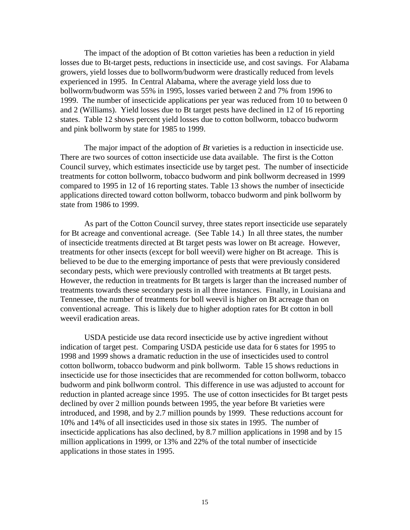The impact of the adoption of Bt cotton varieties has been a reduction in yield losses due to Bt-target pests, reductions in insecticide use, and cost savings. For Alabama growers, yield losses due to bollworm/budworm were drastically reduced from levels experienced in 1995. In Central Alabama, where the average yield loss due to bollworm/budworm was 55% in 1995, losses varied between 2 and 7% from 1996 to 1999. The number of insecticide applications per year was reduced from 10 to between 0 and 2 (Williams). Yield losses due to Bt target pests have declined in 12 of 16 reporting states. Table 12 shows percent yield losses due to cotton bollworm, tobacco budworm and pink bollworm by state for 1985 to 1999.

The major impact of the adoption of *Bt* varieties is a reduction in insecticide use. There are two sources of cotton insecticide use data available. The first is the Cotton Council survey, which estimates insecticide use by target pest. The number of insecticide treatments for cotton bollworm, tobacco budworm and pink bollworm decreased in 1999 compared to 1995 in 12 of 16 reporting states. Table 13 shows the number of insecticide applications directed toward cotton bollworm, tobacco budworm and pink bollworm by state from 1986 to 1999.

As part of the Cotton Council survey, three states report insecticide use separately for Bt acreage and conventional acreage. (See Table 14.) In all three states, the number of insecticide treatments directed at Bt target pests was lower on Bt acreage. However, treatments for other insects (except for boll weevil) were higher on Bt acreage. This is believed to be due to the emerging importance of pests that were previously considered secondary pests, which were previously controlled with treatments at Bt target pests. However, the reduction in treatments for Bt targets is larger than the increased number of treatments towards these secondary pests in all three instances. Finally, in Louisiana and Tennessee, the number of treatments for boll weevil is higher on Bt acreage than on conventional acreage. This is likely due to higher adoption rates for Bt cotton in boll weevil eradication areas.

USDA pesticide use data record insecticide use by active ingredient without indication of target pest. Comparing USDA pesticide use data for 6 states for 1995 to 1998 and 1999 shows a dramatic reduction in the use of insecticides used to control cotton bollworm, tobacco budworm and pink bollworm. Table 15 shows reductions in insecticide use for those insecticides that are recommended for cotton bollworm, tobacco budworm and pink bollworm control. This difference in use was adjusted to account for reduction in planted acreage since 1995. The use of cotton insecticides for Bt target pests declined by over 2 million pounds between 1995, the year before Bt varieties were introduced, and 1998, and by 2.7 million pounds by 1999. These reductions account for 10% and 14% of all insecticides used in those six states in 1995. The number of insecticide applications has also declined, by 8.7 million applications in 1998 and by 15 million applications in 1999, or 13% and 22% of the total number of insecticide applications in those states in 1995.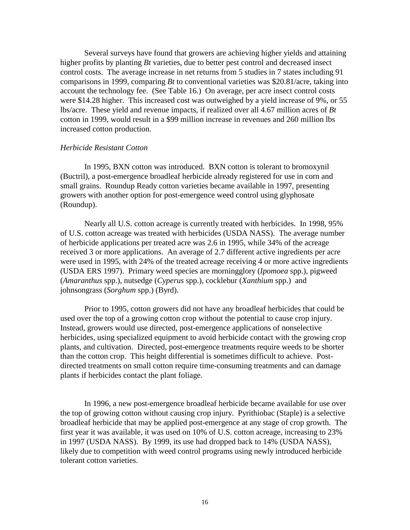Several surveys have found that growers are achieving higher yields and attaining higher profits by planting *Bt* varieties, due to better pest control and decreased insect control costs. The average increase in net returns from 5 studies in 7 states including 91 comparisons in 1999, comparing *Bt* to conventional varieties was \$20.81/acre, taking into account the technology fee. (See Table 16.) On average, per acre insect control costs were \$14.28 higher. This increased cost was outweighed by a yield increase of 9%, or 55 lbs/acre. These yield and revenue impacts, if realized over all 4.67 million acres of *Bt* cotton in 1999, would result in a \$99 million increase in revenues and 260 million lbs increased cotton production.

#### *Herbicide Resistant Cotton*

In 1995, BXN cotton was introduced. BXN cotton is tolerant to bromoxynil (Buctril), a post-emergence broadleaf herbicide already registered for use in corn and small grains. Roundup Ready cotton varieties became available in 1997, presenting growers with another option for post-emergence weed control using glyphosate (Roundup).

Nearly all U.S. cotton acreage is currently treated with herbicides. In 1998, 95% of U.S. cotton acreage was treated with herbicides (USDA NASS). The average number of herbicide applications per treated acre was 2.6 in 1995, while 34% of the acreage received 3 or more applications. An average of 2.7 different active ingredients per acre were used in 1995, with 24% of the treated acreage receiving 4 or more active ingredients (USDA ERS 1997). Primary weed species are morningglory (*Ipomoea* spp.), pigweed (*Amaranthus* spp.), nutsedge (*Cyperus* spp.), cocklebur (*Xanthium* spp.) and johnsongrass (*Sorghum* spp.) (Byrd).

Prior to 1995, cotton growers did not have any broadleaf herbicides that could be used over the top of a growing cotton crop without the potential to cause crop injury. Instead, growers would use directed, post-emergence applications of nonselective herbicides, using specialized equipment to avoid herbicide contact with the growing crop plants, and cultivation. Directed, post-emergence treatments require weeds to be shorter than the cotton crop. This height differential is sometimes difficult to achieve. Postdirected treatments on small cotton require time-consuming treatments and can damage plants if herbicides contact the plant foliage.

In 1996, a new post-emergence broadleaf herbicide became available for use over the top of growing cotton without causing crop injury. Pyrithiobac (Staple) is a selective broadleaf herbicide that may be applied post-emergence at any stage of crop growth. The first year it was available, it was used on 10% of U.S. cotton acreage, increasing to 23% in 1997 (USDA NASS). By 1999, its use had dropped back to 14% (USDA NASS), likely due to competition with weed control programs using newly introduced herbicide tolerant cotton varieties.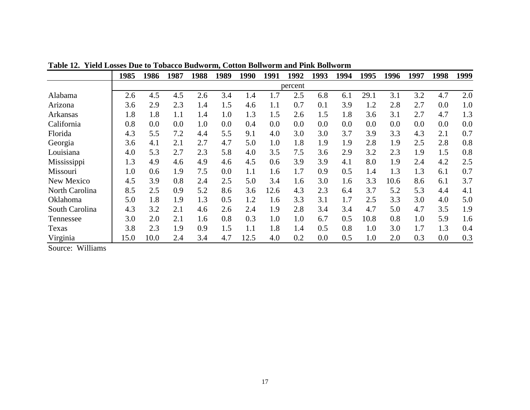|                | 1985 | 1986 | 1987 | 1988 | 1989 | 1990 | 1991 | 1992    | 1993 | 1994 | 1995 | 1996 | 1997 | 1998 | 1999 |
|----------------|------|------|------|------|------|------|------|---------|------|------|------|------|------|------|------|
|                |      |      |      |      |      |      |      | percent |      |      |      |      |      |      |      |
| Alabama        | 2.6  | 4.5  | 4.5  | 2.6  | 3.4  | 1.4  | 1.7  | 2.5     | 6.8  | 6.1  | 29.1 | 3.1  | 3.2  | 4.7  | 2.0  |
| Arizona        | 3.6  | 2.9  | 2.3  | 1.4  | 1.5  | 4.6  | 1.1  | 0.7     | 0.1  | 3.9  | 1.2  | 2.8  | 2.7  | 0.0  | 1.0  |
| Arkansas       | 1.8  | 1.8  | 1.1  | 1.4  | 1.0  | 1.3  | 1.5  | 2.6     | 1.5  | 1.8  | 3.6  | 3.1  | 2.7  | 4.7  | 1.3  |
| California     | 0.8  | 0.0  | 0.0  | 1.0  | 0.0  | 0.4  | 0.0  | 0.0     | 0.0  | 0.0  | 0.0  | 0.0  | 0.0  | 0.0  | 0.0  |
| Florida        | 4.3  | 5.5  | 7.2  | 4.4  | 5.5  | 9.1  | 4.0  | 3.0     | 3.0  | 3.7  | 3.9  | 3.3  | 4.3  | 2.1  | 0.7  |
| Georgia        | 3.6  | 4.1  | 2.1  | 2.7  | 4.7  | 5.0  | 1.0  | 1.8     | 1.9  | 1.9  | 2.8  | 1.9  | 2.5  | 2.8  | 0.8  |
| Louisiana      | 4.0  | 5.3  | 2.7  | 2.3  | 5.8  | 4.0  | 3.5  | 7.5     | 3.6  | 2.9  | 3.2  | 2.3  | 1.9  | 1.5  | 0.8  |
| Mississippi    | 1.3  | 4.9  | 4.6  | 4.9  | 4.6  | 4.5  | 0.6  | 3.9     | 3.9  | 4.1  | 8.0  | 1.9  | 2.4  | 4.2  | 2.5  |
| Missouri       | 1.0  | 0.6  | 1.9  | 7.5  | 0.0  | 1.1  | 1.6  | 1.7     | 0.9  | 0.5  | 1.4  | 1.3  | 1.3  | 6.1  | 0.7  |
| New Mexico     | 4.5  | 3.9  | 0.8  | 2.4  | 2.5  | 5.0  | 3.4  | 1.6     | 3.0  | 1.6  | 3.3  | 10.6 | 8.6  | 6.1  | 3.7  |
| North Carolina | 8.5  | 2.5  | 0.9  | 5.2  | 8.6  | 3.6  | 12.6 | 4.3     | 2.3  | 6.4  | 3.7  | 5.2  | 5.3  | 4.4  | 4.1  |
| Oklahoma       | 5.0  | 1.8  | 1.9  | 1.3  | 0.5  | 1.2  | 1.6  | 3.3     | 3.1  | 1.7  | 2.5  | 3.3  | 3.0  | 4.0  | 5.0  |
| South Carolina | 4.3  | 3.2  | 2.1  | 4.6  | 2.6  | 2.4  | 1.9  | 2.8     | 3.4  | 3.4  | 4.7  | 5.0  | 4.7  | 3.5  | 1.9  |
| Tennessee      | 3.0  | 2.0  | 2.1  | 1.6  | 0.8  | 0.3  | 1.0  | 1.0     | 6.7  | 0.5  | 10.8 | 0.8  | 1.0  | 5.9  | 1.6  |
| Texas          | 3.8  | 2.3  | 1.9  | 0.9  | 1.5  | 1.1  | 1.8  | 1.4     | 0.5  | 0.8  | 1.0  | 3.0  | 1.7  | 1.3  | 0.4  |
| Virginia       | 15.0 | 10.0 | 2.4  | 3.4  | 4.7  | 12.5 | 4.0  | 0.2     | 0.0  | 0.5  | 1.0  | 2.0  | 0.3  | 0.0  | 0.3  |

**Table 12. Yield Losses Due to Tobacco Budworm, Cotton Bollworm and Pink Bollworm**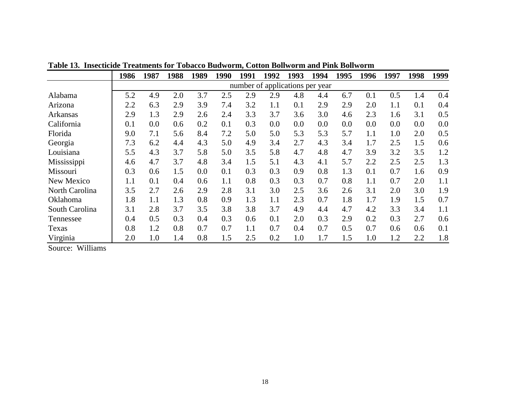|                | 1986 | 1987 | 1988 | 1989 | 1990 | 1991 | 1992                            | 1993 | 1994 | 1995 | 1996 | 1997 | 1998 | 1999 |
|----------------|------|------|------|------|------|------|---------------------------------|------|------|------|------|------|------|------|
|                |      |      |      |      |      |      | number of applications per year |      |      |      |      |      |      |      |
| Alabama        | 5.2  | 4.9  | 2.0  | 3.7  | 2.5  | 2.9  | 2.9                             | 4.8  | 4.4  | 6.7  | 0.1  | 0.5  | 1.4  | 0.4  |
| Arizona        | 2.2  | 6.3  | 2.9  | 3.9  | 7.4  | 3.2  | 1.1                             | 0.1  | 2.9  | 2.9  | 2.0  | 1.1  | 0.1  | 0.4  |
| Arkansas       | 2.9  | 1.3  | 2.9  | 2.6  | 2.4  | 3.3  | 3.7                             | 3.6  | 3.0  | 4.6  | 2.3  | 1.6  | 3.1  | 0.5  |
| California     | 0.1  | 0.0  | 0.6  | 0.2  | 0.1  | 0.3  | 0.0                             | 0.0  | 0.0  | 0.0  | 0.0  | 0.0  | 0.0  | 0.0  |
| Florida        | 9.0  | 7.1  | 5.6  | 8.4  | 7.2  | 5.0  | 5.0                             | 5.3  | 5.3  | 5.7  | 1.1  | 1.0  | 2.0  | 0.5  |
| Georgia        | 7.3  | 6.2  | 4.4  | 4.3  | 5.0  | 4.9  | 3.4                             | 2.7  | 4.3  | 3.4  | 1.7  | 2.5  | 1.5  | 0.6  |
| Louisiana      | 5.5  | 4.3  | 3.7  | 5.8  | 5.0  | 3.5  | 5.8                             | 4.7  | 4.8  | 4.7  | 3.9  | 3.2  | 3.5  | 1.2  |
| Mississippi    | 4.6  | 4.7  | 3.7  | 4.8  | 3.4  | 1.5  | 5.1                             | 4.3  | 4.1  | 5.7  | 2.2  | 2.5  | 2.5  | 1.3  |
| Missouri       | 0.3  | 0.6  | 1.5  | 0.0  | 0.1  | 0.3  | 0.3                             | 0.9  | 0.8  | 1.3  | 0.1  | 0.7  | 1.6  | 0.9  |
| New Mexico     | 1.1  | 0.1  | 0.4  | 0.6  | 1.1  | 0.8  | 0.3                             | 0.3  | 0.7  | 0.8  | 1.1  | 0.7  | 2.0  | 1.1  |
| North Carolina | 3.5  | 2.7  | 2.6  | 2.9  | 2.8  | 3.1  | 3.0                             | 2.5  | 3.6  | 2.6  | 3.1  | 2.0  | 3.0  | 1.9  |
| Oklahoma       | 1.8  | 1.1  | 1.3  | 0.8  | 0.9  | 1.3  | 1.1                             | 2.3  | 0.7  | 1.8  | 1.7  | 1.9  | 1.5  | 0.7  |
| South Carolina | 3.1  | 2.8  | 3.7  | 3.5  | 3.8  | 3.8  | 3.7                             | 4.9  | 4.4  | 4.7  | 4.2  | 3.3  | 3.4  | 1.1  |
| Tennessee      | 0.4  | 0.5  | 0.3  | 0.4  | 0.3  | 0.6  | 0.1                             | 2.0  | 0.3  | 2.9  | 0.2  | 0.3  | 2.7  | 0.6  |
| Texas          | 0.8  | 1.2  | 0.8  | 0.7  | 0.7  | 1.1  | 0.7                             | 0.4  | 0.7  | 0.5  | 0.7  | 0.6  | 0.6  | 0.1  |
| Virginia       | 2.0  | 1.0  | 1.4  | 0.8  | 1.5  | 2.5  | 0.2                             | 1.0  | 1.7  | 1.5  | 1.0  | 1.2  | 2.2  | 1.8  |

**Table 13. Insecticide Treatments for Tobacco Budworm, Cotton Bollworm and Pink Bollworm**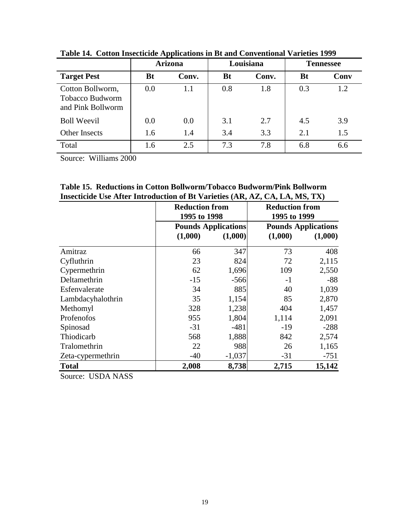|                                                                 | <b>Arizona</b> |       |           | Louisiana | <b>Tennessee</b> |      |
|-----------------------------------------------------------------|----------------|-------|-----------|-----------|------------------|------|
| <b>Target Pest</b>                                              | <b>Bt</b>      | Conv. | <b>Bt</b> | Conv.     | <b>Bt</b>        | Conv |
| Cotton Bollworm,<br><b>Tobacco Budworm</b><br>and Pink Bollworm | 0.0            | 1.1   | 0.8       | 1.8       | 0.3              | 1.2  |
| <b>Boll Weevil</b>                                              | 0.0            | 0.0   | 3.1       | 2.7       | 4.5              | 3.9  |
| <b>Other Insects</b>                                            | 1.6            | 1.4   | 3.4       | 3.3       | 2.1              | 1.5  |
| Total                                                           | 1.6            | 2.5   | 7.3       | 7.8       | 6.8              | 6.6  |

**Table 14. Cotton Insecticide Applications in Bt and Conventional Varieties 1999**

|                   | <b>Reduction from</b><br>1995 to 1998 |                            | <b>Reduction from</b><br>1995 to 1999<br><b>Pounds Applications</b> |         |  |
|-------------------|---------------------------------------|----------------------------|---------------------------------------------------------------------|---------|--|
|                   |                                       | <b>Pounds Applications</b> |                                                                     |         |  |
|                   | (1,000)                               | (1,000)                    | (1,000)                                                             | (1,000) |  |
| Amitraz           | 66                                    | 347                        | 73                                                                  | 408     |  |
| Cyfluthrin        | 23                                    | 824                        | 72                                                                  | 2,115   |  |
| Cypermethrin      | 62                                    | 1,696                      | 109                                                                 | 2,550   |  |
| Deltamethrin      | $-15$                                 | $-566$                     | $-1$                                                                | -88     |  |
| Esfenvalerate     | 34                                    | 885                        | 40                                                                  | 1,039   |  |
| Lambdacyhalothrin | 35                                    | 1,154                      | 85                                                                  | 2,870   |  |
| Methomyl          | 328                                   | 1,238                      | 404                                                                 | 1,457   |  |
| Profenofos        | 955                                   | 1,804                      | 1,114                                                               | 2,091   |  |
| Spinosad          | $-31$                                 | $-481$                     | $-19$                                                               | $-288$  |  |
| Thiodicarb        | 568                                   | 1,888                      | 842                                                                 | 2,574   |  |
| Tralomethrin      | 22                                    | 988                        | 26                                                                  | 1,165   |  |
| Zeta-cypermethrin | $-40$                                 | $-1,037$                   | $-31$                                                               | $-751$  |  |
| <b>Total</b>      | 2,008                                 | 8,738                      | 2,715                                                               | 15,142  |  |

**Table 15. Reductions in Cotton Bollworm/Tobacco Budworm/Pink Bollworm Insecticide Use After Introduction of Bt Varieties (AR, AZ, CA, LA, MS, TX)**

Source: USDA NASS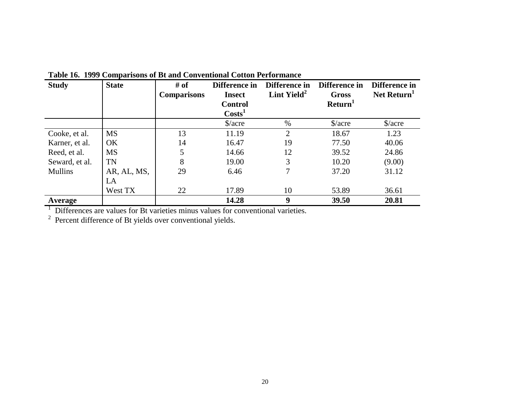| <b>Study</b>   | <b>State</b> | # of<br><b>Comparisons</b> | Difference in<br><b>Insect</b><br><b>Control</b><br>$\text{Costs}^1$ | Difference in<br>Lint Yield <sup>2</sup> | Difference in<br><b>Gross</b><br>Return <sup>1</sup> | Difference in<br>Net Return <sup>1</sup> |
|----------------|--------------|----------------------------|----------------------------------------------------------------------|------------------------------------------|------------------------------------------------------|------------------------------------------|
|                |              |                            | $\frac{\sqrt{2}}{2}$                                                 | $\%$                                     | $\frac{\text{S}}{\text{acre}}$                       | $\frac{\sqrt{2}}{2}$                     |
| Cooke, et al.  | <b>MS</b>    | 13                         | 11.19                                                                | $\overline{2}$                           | 18.67                                                | 1.23                                     |
| Karner, et al. | OK           | 14                         | 16.47                                                                | 19                                       | 77.50                                                | 40.06                                    |
| Reed, et al.   | <b>MS</b>    |                            | 14.66                                                                | 12                                       | 39.52                                                | 24.86                                    |
| Seward, et al. | <b>TN</b>    | 8                          | 19.00                                                                | 3                                        | 10.20                                                | (9.00)                                   |
| <b>Mullins</b> | AR, AL, MS,  | 29                         | 6.46                                                                 | 7                                        | 37.20                                                | 31.12                                    |
|                | LA           |                            |                                                                      |                                          |                                                      |                                          |
|                | West TX      | 22                         | 17.89                                                                | 10                                       | 53.89                                                | 36.61                                    |
| Average        |              |                            | 14.28                                                                | 9                                        | 39.50                                                | 20.81                                    |

**Table 16. 1999 Comparisons of Bt and Conventional Cotton Performance**

<sup>1</sup> Differences are values for Bt varieties minus values for conventional varieties.<br><sup>2</sup> Percent difference of Bt yields over conventional yields.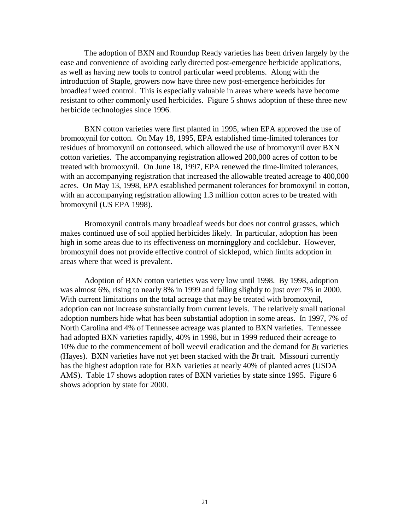The adoption of BXN and Roundup Ready varieties has been driven largely by the ease and convenience of avoiding early directed post-emergence herbicide applications, as well as having new tools to control particular weed problems. Along with the introduction of Staple, growers now have three new post-emergence herbicides for broadleaf weed control. This is especially valuable in areas where weeds have become resistant to other commonly used herbicides. Figure 5 shows adoption of these three new herbicide technologies since 1996.

BXN cotton varieties were first planted in 1995, when EPA approved the use of bromoxynil for cotton. On May 18, 1995, EPA established time-limited tolerances for residues of bromoxynil on cottonseed, which allowed the use of bromoxynil over BXN cotton varieties. The accompanying registration allowed 200,000 acres of cotton to be treated with bromoxynil. On June 18, 1997, EPA renewed the time-limited tolerances, with an accompanying registration that increased the allowable treated acreage to 400,000 acres. On May 13, 1998, EPA established permanent tolerances for bromoxynil in cotton, with an accompanying registration allowing 1.3 million cotton acres to be treated with bromoxynil (US EPA 1998).

Bromoxynil controls many broadleaf weeds but does not control grasses, which makes continued use of soil applied herbicides likely. In particular, adoption has been high in some areas due to its effectiveness on morningglory and cocklebur. However, bromoxynil does not provide effective control of sicklepod, which limits adoption in areas where that weed is prevalent.

Adoption of BXN cotton varieties was very low until 1998. By 1998, adoption was almost 6%, rising to nearly 8% in 1999 and falling slightly to just over 7% in 2000. With current limitations on the total acreage that may be treated with bromoxynil, adoption can not increase substantially from current levels. The relatively small national adoption numbers hide what has been substantial adoption in some areas. In 1997, 7% of North Carolina and 4% of Tennessee acreage was planted to BXN varieties. Tennessee had adopted BXN varieties rapidly, 40% in 1998, but in 1999 reduced their acreage to 10% due to the commencement of boll weevil eradication and the demand for *Bt* varieties (Hayes). BXN varieties have not yet been stacked with the *Bt* trait. Missouri currently has the highest adoption rate for BXN varieties at nearly 40% of planted acres (USDA AMS). Table 17 shows adoption rates of BXN varieties by state since 1995. Figure 6 shows adoption by state for 2000.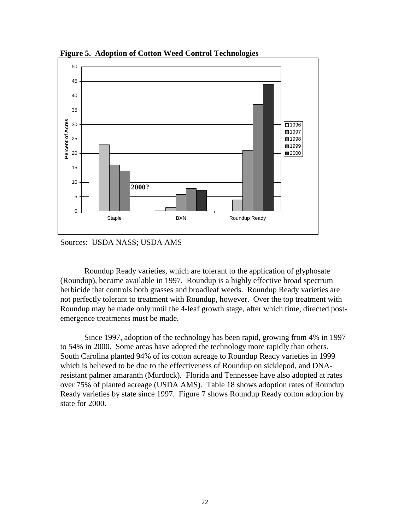

**Figure 5. Adoption of Cotton Weed Control Technologies**

Sources: USDA NASS; USDA AMS

Roundup Ready varieties, which are tolerant to the application of glyphosate (Roundup), became available in 1997. Roundup is a highly effective broad spectrum herbicide that controls both grasses and broadleaf weeds. Roundup Ready varieties are not perfectly tolerant to treatment with Roundup, however. Over the top treatment with Roundup may be made only until the 4-leaf growth stage, after which time, directed postemergence treatments must be made.

Since 1997, adoption of the technology has been rapid, growing from 4% in 1997 to 54% in 2000. Some areas have adopted the technology more rapidly than others. South Carolina planted 94% of its cotton acreage to Roundup Ready varieties in 1999 which is believed to be due to the effectiveness of Roundup on sicklepod, and DNAresistant palmer amaranth (Murdock). Florida and Tennessee have also adopted at rates over 75% of planted acreage (USDA AMS). Table 18 shows adoption rates of Roundup Ready varieties by state since 1997. Figure 7 shows Roundup Ready cotton adoption by state for 2000.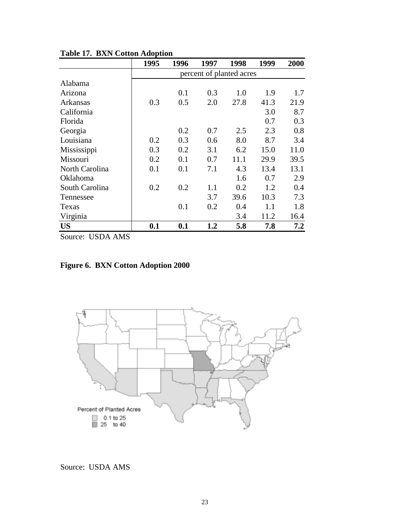|                                           | 1995                     | 1996 | 1997 | 1998 | 1999 | 2000 |  |  |
|-------------------------------------------|--------------------------|------|------|------|------|------|--|--|
|                                           | percent of planted acres |      |      |      |      |      |  |  |
| Alabama                                   |                          |      |      |      |      |      |  |  |
| Arizona                                   |                          | 0.1  | 0.3  | 1.0  | 1.9  | 1.7  |  |  |
| Arkansas                                  | 0.3                      | 0.5  | 2.0  | 27.8 | 41.3 | 21.9 |  |  |
| California                                |                          |      |      |      | 3.0  | 8.7  |  |  |
| Florida                                   |                          |      |      |      | 0.7  | 0.3  |  |  |
| Georgia                                   |                          | 0.2  | 0.7  | 2.5  | 2.3  | 0.8  |  |  |
| Louisiana                                 | 0.2                      | 0.3  | 0.6  | 8.0  | 8.7  | 3.4  |  |  |
| Mississippi                               | 0.3                      | 0.2  | 3.1  | 6.2  | 15.0 | 11.0 |  |  |
| Missouri                                  | 0.2                      | 0.1  | 0.7  | 11.1 | 29.9 | 39.5 |  |  |
| North Carolina                            | 0.1                      | 0.1  | 7.1  | 4.3  | 13.4 | 13.1 |  |  |
| Oklahoma                                  |                          |      |      | 1.6  | 0.7  | 2.9  |  |  |
| South Carolina                            | 0.2                      | 0.2  | 1.1  | 0.2  | 1.2  | 0.4  |  |  |
| Tennessee                                 |                          |      | 3.7  | 39.6 | 10.3 | 7.3  |  |  |
| Texas                                     |                          | 0.1  | 0.2  | 0.4  | 1.1  | 1.8  |  |  |
| Virginia                                  |                          |      |      | 3.4  | 11.2 | 16.4 |  |  |
| <b>US</b><br>$\sim$<br>$1 - F$<br>T T T T | 0.1                      | 0.1  | 1.2  | 5.8  | 7.8  | 7.2  |  |  |

**Table 17. BXN Cotton Adoption**

Source: USDA AMS

**Figure 6. BXN Cotton Adoption 2000**



Source: USDA AMS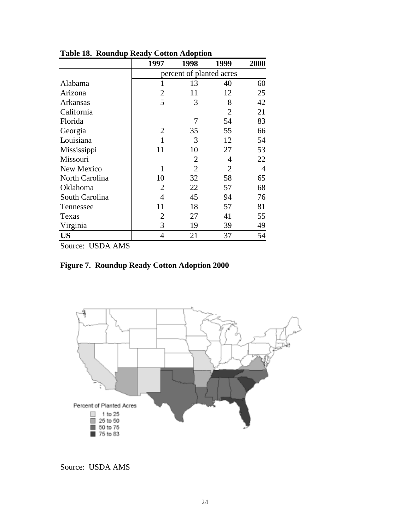|                | 1997           | 1998           | 1999                     | 2000 |
|----------------|----------------|----------------|--------------------------|------|
|                |                |                | percent of planted acres |      |
| Alabama        | 1              | 13             | 40                       | 60   |
| Arizona        | 2              | 11             | 12                       | 25   |
| Arkansas       | 5              | 3              | 8                        | 42   |
| California     |                |                | $\overline{2}$           | 21   |
| Florida        |                | 7              | 54                       | 83   |
| Georgia        | $\overline{2}$ | 35             | 55                       | 66   |
| Louisiana      | 1              | 3              | 12                       | 54   |
| Mississippi    | 11             | 10             | 27                       | 53   |
| Missouri       |                | 2              | 4                        | 22   |
| New Mexico     | 1              | $\overline{2}$ | $\overline{2}$           | 4    |
| North Carolina | 10             | 32             | 58                       | 65   |
| Oklahoma       | 2              | 22             | 57                       | 68   |
| South Carolina | 4              | 45             | 94                       | 76   |
| Tennessee      | 11             | 18             | 57                       | 81   |
| Texas          | $\overline{2}$ | 27             | 41                       | 55   |
| Virginia       | 3              | 19             | 39                       | 49   |
| <b>US</b>      | $\overline{4}$ | 21             | 37                       | 54   |

**Table 18. Roundup Ready Cotton Adoption**

Source: USDA AMS

# **Figure 7. Roundup Ready Cotton Adoption 2000**



Source: USDA AMS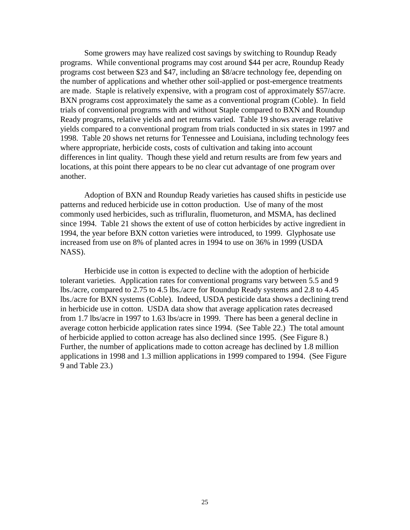Some growers may have realized cost savings by switching to Roundup Ready programs. While conventional programs may cost around \$44 per acre, Roundup Ready programs cost between \$23 and \$47, including an \$8/acre technology fee, depending on the number of applications and whether other soil-applied or post-emergence treatments are made. Staple is relatively expensive, with a program cost of approximately \$57/acre. BXN programs cost approximately the same as a conventional program (Coble). In field trials of conventional programs with and without Staple compared to BXN and Roundup Ready programs, relative yields and net returns varied. Table 19 shows average relative yields compared to a conventional program from trials conducted in six states in 1997 and 1998. Table 20 shows net returns for Tennessee and Louisiana, including technology fees where appropriate, herbicide costs, costs of cultivation and taking into account differences in lint quality. Though these yield and return results are from few years and locations, at this point there appears to be no clear cut advantage of one program over another.

Adoption of BXN and Roundup Ready varieties has caused shifts in pesticide use patterns and reduced herbicide use in cotton production. Use of many of the most commonly used herbicides, such as trifluralin, fluometuron, and MSMA, has declined since 1994. Table 21 shows the extent of use of cotton herbicides by active ingredient in 1994, the year before BXN cotton varieties were introduced, to 1999. Glyphosate use increased from use on 8% of planted acres in 1994 to use on 36% in 1999 (USDA NASS).

Herbicide use in cotton is expected to decline with the adoption of herbicide tolerant varieties. Application rates for conventional programs vary between 5.5 and 9 lbs./acre, compared to 2.75 to 4.5 lbs./acre for Roundup Ready systems and 2.8 to 4.45 lbs./acre for BXN systems (Coble). Indeed, USDA pesticide data shows a declining trend in herbicide use in cotton. USDA data show that average application rates decreased from 1.7 lbs/acre in 1997 to 1.63 lbs/acre in 1999. There has been a general decline in average cotton herbicide application rates since 1994. (See Table 22.) The total amount of herbicide applied to cotton acreage has also declined since 1995. (See Figure 8.) Further, the number of applications made to cotton acreage has declined by 1.8 million applications in 1998 and 1.3 million applications in 1999 compared to 1994. (See Figure 9 and Table 23.)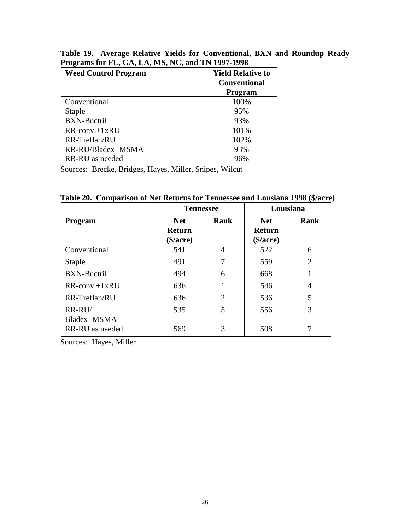| <b>Weed Control Program</b> | <b>Yield Relative to</b><br><b>Conventional</b><br><b>Program</b> |
|-----------------------------|-------------------------------------------------------------------|
| Conventional                | 100%                                                              |
| <b>Staple</b>               | 95%                                                               |
| <b>BXN-Buctril</b>          | 93%                                                               |
| $RR$ -conv.+ $1xRU$         | 101%                                                              |
| RR-Treflan/RU               | 102%                                                              |
| RR-RU/Bladex+MSMA           | 93%                                                               |
| RR-RU as needed             | 96%                                                               |

**Table 19. Average Relative Yields for Conventional, BXN and Roundup Ready Programs for FL, GA, LA, MS, NC, and TN 1997-1998**

Sources: Brecke, Bridges, Hayes, Miller, Snipes, Wilcut

**Tennessee Louisiana** Program Net **Return (\$/acre)** Rank | Net **Return (\$/acre) Rank** Conventional 541 4 522 6 Staple 191 7 559 2 BXN-Buctril 194 6 668 1 RR-conv.+1xRU 636 1 546 4 RR-Treflan/RU | 636 2 | 536 5 RR-RU/ Bladex+MSMA 535 5 556 3 RR-RU as needed 1 569 3 508 7

**Table 20. Comparison of Net Returns for Tennessee and Lousiana 1998 (\$/acre)**

Sources: Hayes, Miller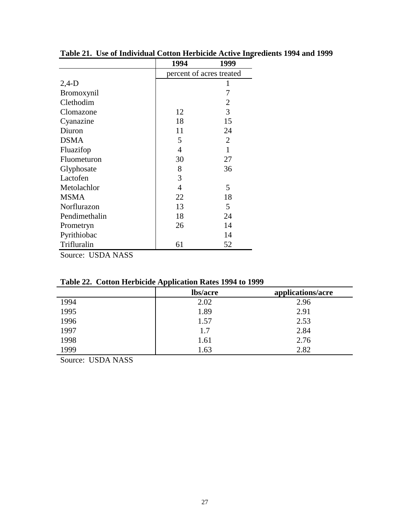|                   | 1994 | 1999                     |
|-------------------|------|--------------------------|
|                   |      | percent of acres treated |
| $2,4-D$           |      | 1                        |
| Bromoxynil        |      | 7                        |
| Clethodim         |      | 2                        |
| Clomazone         | 12   | 3                        |
| Cyanazine         | 18   | 15                       |
| Diuron            | 11   | 24                       |
| <b>DSMA</b>       | 5    | $\overline{2}$           |
| Fluazifop         | 4    | $\mathbf{1}$             |
| Fluometuron       | 30   | 27                       |
| Glyphosate        | 8    | 36                       |
| Lactofen          | 3    |                          |
| Metolachlor       | 4    | 5                        |
| <b>MSMA</b>       | 22   | 18                       |
| Norflurazon       | 13   | 5                        |
| Pendimethalin     | 18   | 24                       |
| Prometryn         | 26   | 14                       |
| Pyrithiobac       |      | 14                       |
| Trifluralin       | 61   | 52                       |
| Course. HEDA MACC |      |                          |

**Table 21. Use of Individual Cotton Herbicide Active Ingredients 1994 and 1999**

Source: USDA NASS

|      | lbs/acre | applications/acre |
|------|----------|-------------------|
| 1994 | 2.02     | 2.96              |
| 1995 | 1.89     | 2.91              |
| 1996 | 1.57     | 2.53              |
| 1997 | 1.7      | 2.84              |
| 1998 | 1.61     | 2.76              |
| 1999 | 1.63     | 2.82              |

**Table 22. Cotton Herbicide Application Rates 1994 to 1999**

Source: USDA NASS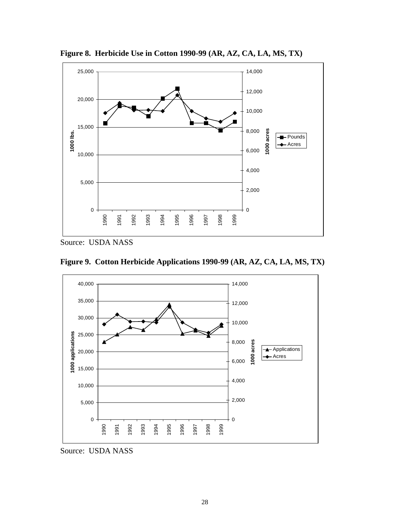

**Figure 8. Herbicide Use in Cotton 1990-99 (AR, AZ, CA, LA, MS, TX)**

Source: USDA NASS





Source: USDA NASS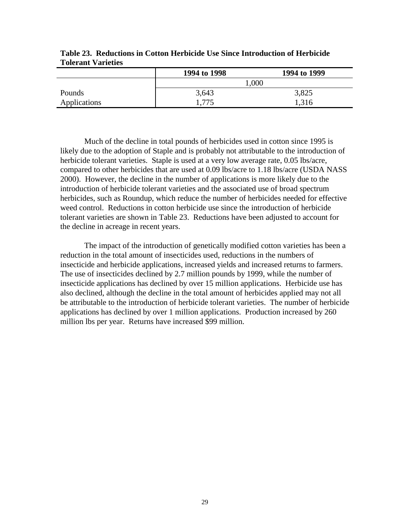|              | 1994 to 1998 | 1994 to 1999 |
|--------------|--------------|--------------|
|              | 1,000        |              |
| Pounds       | 3,643        | 3,825        |
| Applications | 1,775        | 1,316        |

**Table 23. Reductions in Cotton Herbicide Use Since Introduction of Herbicide Tolerant Varieties**

Much of the decline in total pounds of herbicides used in cotton since 1995 is likely due to the adoption of Staple and is probably not attributable to the introduction of herbicide tolerant varieties. Staple is used at a very low average rate, 0.05 lbs/acre, compared to other herbicides that are used at 0.09 lbs/acre to 1.18 lbs/acre (USDA NASS 2000). However, the decline in the number of applications is more likely due to the introduction of herbicide tolerant varieties and the associated use of broad spectrum herbicides, such as Roundup, which reduce the number of herbicides needed for effective weed control. Reductions in cotton herbicide use since the introduction of herbicide tolerant varieties are shown in Table 23. Reductions have been adjusted to account for the decline in acreage in recent years.

The impact of the introduction of genetically modified cotton varieties has been a reduction in the total amount of insecticides used, reductions in the numbers of insecticide and herbicide applications, increased yields and increased returns to farmers. The use of insecticides declined by 2.7 million pounds by 1999, while the number of insecticide applications has declined by over 15 million applications. Herbicide use has also declined, although the decline in the total amount of herbicides applied may not all be attributable to the introduction of herbicide tolerant varieties. The number of herbicide applications has declined by over 1 million applications. Production increased by 260 million lbs per year. Returns have increased \$99 million.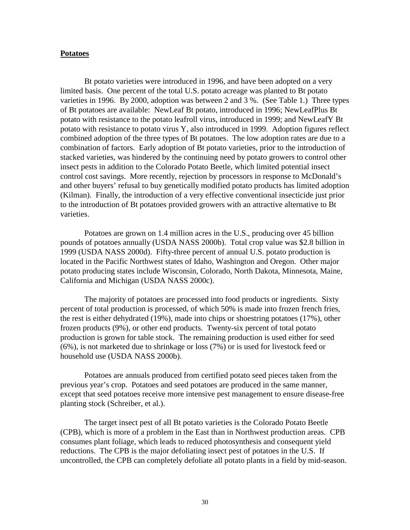#### **Potatoes**

Bt potato varieties were introduced in 1996, and have been adopted on a very limited basis. One percent of the total U.S. potato acreage was planted to Bt potato varieties in 1996. By 2000, adoption was between 2 and 3 %. (See Table 1.) Three types of Bt potatoes are available: NewLeaf Bt potato, introduced in 1996; NewLeafPlus Bt potato with resistance to the potato leafroll virus, introduced in 1999; and NewLeafY Bt potato with resistance to potato virus Y, also introduced in 1999. Adoption figures reflect combined adoption of the three types of Bt potatoes. The low adoption rates are due to a combination of factors. Early adoption of Bt potato varieties, prior to the introduction of stacked varieties, was hindered by the continuing need by potato growers to control other insect pests in addition to the Colorado Potato Beetle, which limited potential insect control cost savings. More recently, rejection by processors in response to McDonald's and other buyers' refusal to buy genetically modified potato products has limited adoption (Kilman). Finally, the introduction of a very effective conventional insecticide just prior to the introduction of Bt potatoes provided growers with an attractive alternative to Bt varieties.

Potatoes are grown on 1.4 million acres in the U.S., producing over 45 billion pounds of potatoes annually (USDA NASS 2000b). Total crop value was \$2.8 billion in 1999 (USDA NASS 2000d). Fifty-three percent of annual U.S. potato production is located in the Pacific Northwest states of Idaho, Washington and Oregon. Other major potato producing states include Wisconsin, Colorado, North Dakota, Minnesota, Maine, California and Michigan (USDA NASS 2000c).

The majority of potatoes are processed into food products or ingredients. Sixty percent of total production is processed, of which 50% is made into frozen french fries, the rest is either dehydrated (19%), made into chips or shoestring potatoes (17%), other frozen products (9%), or other end products. Twenty-six percent of total potato production is grown for table stock. The remaining production is used either for seed (6%), is not marketed due to shrinkage or loss (7%) or is used for livestock feed or household use (USDA NASS 2000b).

Potatoes are annuals produced from certified potato seed pieces taken from the previous year's crop. Potatoes and seed potatoes are produced in the same manner, except that seed potatoes receive more intensive pest management to ensure disease-free planting stock (Schreiber, et al.).

The target insect pest of all Bt potato varieties is the Colorado Potato Beetle (CPB), which is more of a problem in the East than in Northwest production areas. CPB consumes plant foliage, which leads to reduced photosynthesis and consequent yield reductions. The CPB is the major defoliating insect pest of potatoes in the U.S. If uncontrolled, the CPB can completely defoliate all potato plants in a field by mid-season.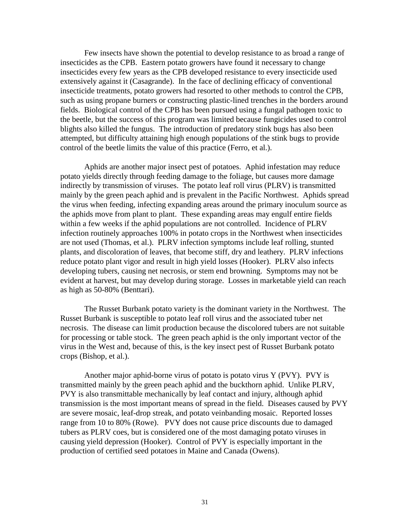Few insects have shown the potential to develop resistance to as broad a range of insecticides as the CPB. Eastern potato growers have found it necessary to change insecticides every few years as the CPB developed resistance to every insecticide used extensively against it (Casagrande). In the face of declining efficacy of conventional insecticide treatments, potato growers had resorted to other methods to control the CPB, such as using propane burners or constructing plastic-lined trenches in the borders around fields. Biological control of the CPB has been pursued using a fungal pathogen toxic to the beetle, but the success of this program was limited because fungicides used to control blights also killed the fungus. The introduction of predatory stink bugs has also been attempted, but difficulty attaining high enough populations of the stink bugs to provide control of the beetle limits the value of this practice (Ferro, et al.).

Aphids are another major insect pest of potatoes. Aphid infestation may reduce potato yields directly through feeding damage to the foliage, but causes more damage indirectly by transmission of viruses. The potato leaf roll virus (PLRV) is transmitted mainly by the green peach aphid and is prevalent in the Pacific Northwest. Aphids spread the virus when feeding, infecting expanding areas around the primary inoculum source as the aphids move from plant to plant. These expanding areas may engulf entire fields within a few weeks if the aphid populations are not controlled. Incidence of PLRV infection routinely approaches 100% in potato crops in the Northwest when insecticides are not used (Thomas, et al.). PLRV infection symptoms include leaf rolling, stunted plants, and discoloration of leaves, that become stiff, dry and leathery. PLRV infections reduce potato plant vigor and result in high yield losses (Hooker). PLRV also infects developing tubers, causing net necrosis, or stem end browning. Symptoms may not be evident at harvest, but may develop during storage. Losses in marketable yield can reach as high as 50-80% (Benttari).

The Russet Burbank potato variety is the dominant variety in the Northwest. The Russet Burbank is susceptible to potato leaf roll virus and the associated tuber net necrosis. The disease can limit production because the discolored tubers are not suitable for processing or table stock. The green peach aphid is the only important vector of the virus in the West and, because of this, is the key insect pest of Russet Burbank potato crops (Bishop, et al.).

Another major aphid-borne virus of potato is potato virus Y (PVY). PVY is transmitted mainly by the green peach aphid and the buckthorn aphid. Unlike PLRV, PVY is also transmittable mechanically by leaf contact and injury, although aphid transmission is the most important means of spread in the field. Diseases caused by PVY are severe mosaic, leaf-drop streak, and potato veinbanding mosaic. Reported losses range from 10 to 80% (Rowe). PVY does not cause price discounts due to damaged tubers as PLRV coes, but is considered one of the most damaging potato viruses in causing yield depression (Hooker). Control of PVY is especially important in the production of certified seed potatoes in Maine and Canada (Owens).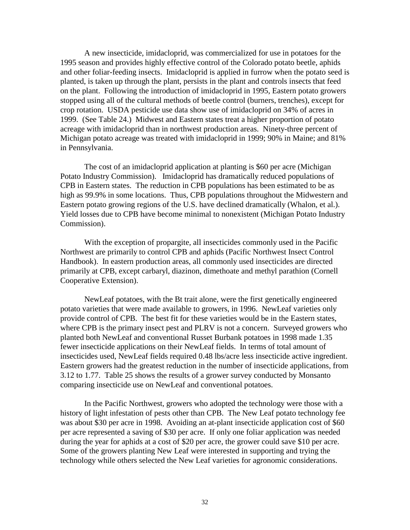A new insecticide, imidacloprid, was commercialized for use in potatoes for the 1995 season and provides highly effective control of the Colorado potato beetle, aphids and other foliar-feeding insects. Imidacloprid is applied in furrow when the potato seed is planted, is taken up through the plant, persists in the plant and controls insects that feed on the plant. Following the introduction of imidacloprid in 1995, Eastern potato growers stopped using all of the cultural methods of beetle control (burners, trenches), except for crop rotation. USDA pesticide use data show use of imidacloprid on 34% of acres in 1999. (See Table 24.) Midwest and Eastern states treat a higher proportion of potato acreage with imidacloprid than in northwest production areas. Ninety-three percent of Michigan potato acreage was treated with imidacloprid in 1999; 90% in Maine; and 81% in Pennsylvania.

The cost of an imidacloprid application at planting is \$60 per acre (Michigan Potato Industry Commission). Imidacloprid has dramatically reduced populations of CPB in Eastern states. The reduction in CPB populations has been estimated to be as high as 99.9% in some locations. Thus, CPB populations throughout the Midwestern and Eastern potato growing regions of the U.S. have declined dramatically (Whalon, et al.). Yield losses due to CPB have become minimal to nonexistent (Michigan Potato Industry Commission).

With the exception of propargite, all insecticides commonly used in the Pacific Northwest are primarily to control CPB and aphids (Pacific Northwest Insect Control Handbook). In eastern production areas, all commonly used insecticides are directed primarily at CPB, except carbaryl, diazinon, dimethoate and methyl parathion (Cornell Cooperative Extension).

NewLeaf potatoes, with the Bt trait alone, were the first genetically engineered potato varieties that were made available to growers, in 1996. NewLeaf varieties only provide control of CPB. The best fit for these varieties would be in the Eastern states, where CPB is the primary insect pest and PLRV is not a concern. Surveyed growers who planted both NewLeaf and conventional Russet Burbank potatoes in 1998 made 1.35 fewer insecticide applications on their NewLeaf fields. In terms of total amount of insecticides used, NewLeaf fields required 0.48 lbs/acre less insecticide active ingredient. Eastern growers had the greatest reduction in the number of insecticide applications, from 3.12 to 1.77. Table 25 shows the results of a grower survey conducted by Monsanto comparing insecticide use on NewLeaf and conventional potatoes.

In the Pacific Northwest, growers who adopted the technology were those with a history of light infestation of pests other than CPB. The New Leaf potato technology fee was about \$30 per acre in 1998. Avoiding an at-plant insecticide application cost of \$60 per acre represented a saving of \$30 per acre. If only one foliar application was needed during the year for aphids at a cost of \$20 per acre, the grower could save \$10 per acre. Some of the growers planting New Leaf were interested in supporting and trying the technology while others selected the New Leaf varieties for agronomic considerations.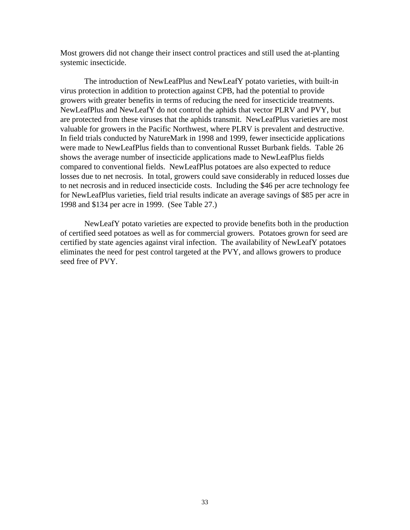Most growers did not change their insect control practices and still used the at-planting systemic insecticide.

The introduction of NewLeafPlus and NewLeafY potato varieties, with built-in virus protection in addition to protection against CPB, had the potential to provide growers with greater benefits in terms of reducing the need for insecticide treatments. NewLeafPlus and NewLeafY do not control the aphids that vector PLRV and PVY, but are protected from these viruses that the aphids transmit. NewLeafPlus varieties are most valuable for growers in the Pacific Northwest, where PLRV is prevalent and destructive. In field trials conducted by NatureMark in 1998 and 1999, fewer insecticide applications were made to NewLeafPlus fields than to conventional Russet Burbank fields. Table 26 shows the average number of insecticide applications made to NewLeafPlus fields compared to conventional fields. NewLeafPlus potatoes are also expected to reduce losses due to net necrosis. In total, growers could save considerably in reduced losses due to net necrosis and in reduced insecticide costs. Including the \$46 per acre technology fee for NewLeafPlus varieties, field trial results indicate an average savings of \$85 per acre in 1998 and \$134 per acre in 1999. (See Table 27.)

NewLeafY potato varieties are expected to provide benefits both in the production of certified seed potatoes as well as for commercial growers. Potatoes grown for seed are certified by state agencies against viral infection. The availability of NewLeafY potatoes eliminates the need for pest control targeted at the PVY, and allows growers to produce seed free of PVY.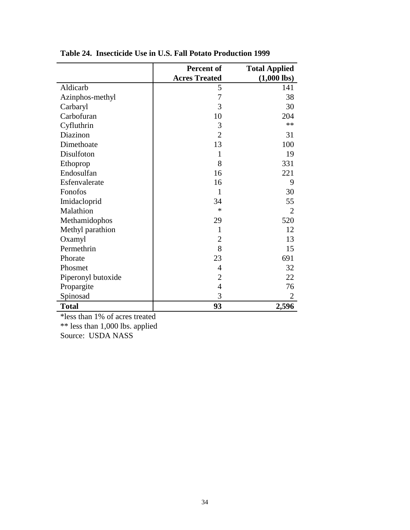|                    | <b>Percent of</b>    | <b>Total Applied</b> |
|--------------------|----------------------|----------------------|
|                    | <b>Acres Treated</b> | $(1,000$ lbs)        |
| Aldicarb           | 5                    | 141                  |
| Azinphos-methyl    | 7                    | 38                   |
| Carbaryl           | 3                    | 30                   |
| Carbofuran         | 10                   | 204                  |
| Cyfluthrin         | 3                    | **                   |
| Diazinon           | $\overline{2}$       | 31                   |
| Dimethoate         | 13                   | 100                  |
| Disulfoton         | 1                    | 19                   |
| Ethoprop           | 8                    | 331                  |
| Endosulfan         | 16                   | 221                  |
| Esfenvalerate      | 16                   | 9                    |
| Fonofos            | 1                    | 30                   |
| Imidacloprid       | 34                   | 55                   |
| Malathion          | $\ast$               | $\overline{2}$       |
| Methamidophos      | 29                   | 520                  |
| Methyl parathion   | 1                    | 12                   |
| Oxamyl             | $\overline{2}$       | 13                   |
| Permethrin         | 8                    | 15                   |
| Phorate            | 23                   | 691                  |
| Phosmet            | 4                    | 32                   |
| Piperonyl butoxide | $\overline{2}$       | 22                   |
| Propargite         | $\overline{4}$       | 76                   |
| Spinosad           | 3                    | 2                    |
| <b>Total</b>       | 93                   | 2,596                |

**Table 24. Insecticide Use in U.S. Fall Potato Production 1999**

\*less than 1% of acres treated \*\* less than 1,000 lbs. applied Source: USDA NASS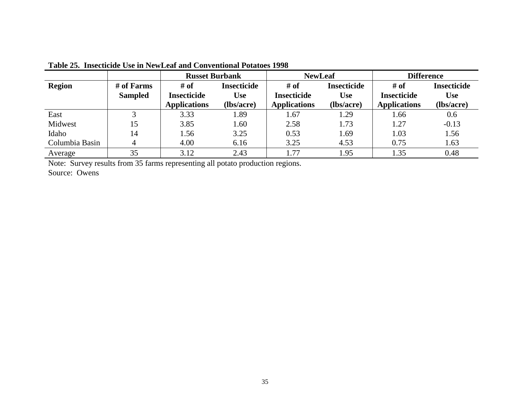|                |                | <b>Russet Burbank</b> |             | <b>NewLeaf</b>      |                    | <b>Difference</b>   |                    |
|----------------|----------------|-----------------------|-------------|---------------------|--------------------|---------------------|--------------------|
| <b>Region</b>  | # of Farms     | # of                  | Insecticide | # of                | <b>Insecticide</b> | # of                | <b>Insecticide</b> |
|                | <b>Sampled</b> | <b>Insecticide</b>    | Use         | Insecticide         | Use                | <b>Insecticide</b>  | <b>Use</b>         |
|                |                | <b>Applications</b>   | (lbs/acre)  | <b>Applications</b> | (lbs/acre)         | <b>Applications</b> | (lbs/acre)         |
| East           | っ              | 3.33                  | 1.89        | 1.67                | 1.29               | 1.66                | 0.6                |
| Midwest        | 15             | 3.85                  | 1.60        | 2.58                | 1.73               | 1.27                | $-0.13$            |
| Idaho          | 14             | 1.56                  | 3.25        | 0.53                | 1.69               | 1.03                | 1.56               |
| Columbia Basin |                | 4.00                  | 6.16        | 3.25                | 4.53               | 0.75                | 1.63               |
| Average        | 35             | 3.12                  | 2.43        | 1.77                | 1.95               | 1.35                | 0.48               |

**Table 25. Insecticide Use in NewLeaf and Conventional Potatoes 1998**

Note: Survey results from 35 farms representing all potato production regions.

Source: Owens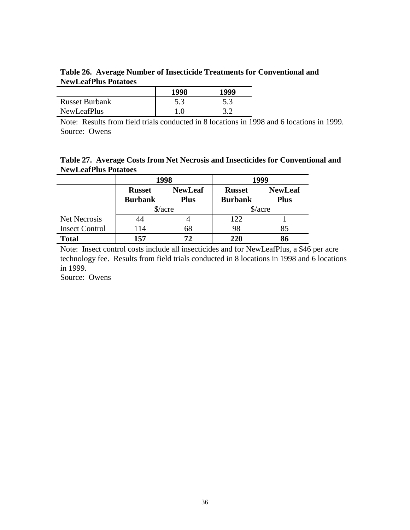| Table 26. Average Number of Insecticide Treatments for Conventional and |  |
|-------------------------------------------------------------------------|--|
| <b>NewLeafPlus Potatoes</b>                                             |  |

|                       | 1998 | 1999 |
|-----------------------|------|------|
| <b>Russet Burbank</b> |      |      |
| <b>NewLeafPlus</b>    |      |      |

Note: Results from field trials conducted in 8 locations in 1998 and 6 locations in 1999. Source: Owens

# **Table 27. Average Costs from Net Necrosis and Insecticides for Conventional and NewLeafPlus Potatoes**

|                       |                                                                  | 1998 | 1999                                       |                               |  |
|-----------------------|------------------------------------------------------------------|------|--------------------------------------------|-------------------------------|--|
|                       | <b>NewLeaf</b><br><b>Russet</b><br><b>Burbank</b><br><b>Plus</b> |      | <b>Russet</b><br><b>Burbank</b>            | <b>NewLeaf</b><br><b>Plus</b> |  |
|                       | $\frac{\sqrt{2}}{2}$                                             |      | $\frac{\text{a}}{\text{a} \cdot \text{b}}$ |                               |  |
| <b>Net Necrosis</b>   | 44                                                               |      | 122                                        |                               |  |
| <b>Insect Control</b> | 114                                                              | 68   | 98                                         | 85                            |  |
| <b>Total</b>          | 157                                                              | 72   | 220                                        | 86                            |  |

Note: Insect control costs include all insecticides and for NewLeafPlus, a \$46 per acre technology fee. Results from field trials conducted in 8 locations in 1998 and 6 locations in 1999.

Source: Owens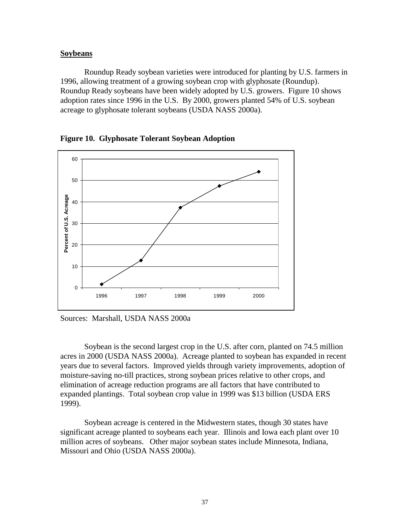### **Soybeans**

Roundup Ready soybean varieties were introduced for planting by U.S. farmers in 1996, allowing treatment of a growing soybean crop with glyphosate (Roundup). Roundup Ready soybeans have been widely adopted by U.S. growers. Figure 10 shows adoption rates since 1996 in the U.S. By 2000, growers planted 54% of U.S. soybean acreage to glyphosate tolerant soybeans (USDA NASS 2000a).



**Figure 10. Glyphosate Tolerant Soybean Adoption**

Sources: Marshall, USDA NASS 2000a

Soybean is the second largest crop in the U.S. after corn, planted on 74.5 million acres in 2000 (USDA NASS 2000a). Acreage planted to soybean has expanded in recent years due to several factors. Improved yields through variety improvements, adoption of moisture-saving no-till practices, strong soybean prices relative to other crops, and elimination of acreage reduction programs are all factors that have contributed to expanded plantings. Total soybean crop value in 1999 was \$13 billion (USDA ERS 1999).

Soybean acreage is centered in the Midwestern states, though 30 states have significant acreage planted to soybeans each year. Illinois and Iowa each plant over 10 million acres of soybeans. Other major soybean states include Minnesota, Indiana, Missouri and Ohio (USDA NASS 2000a).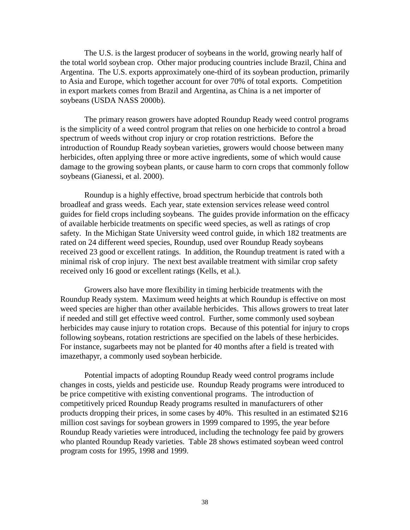The U.S. is the largest producer of soybeans in the world, growing nearly half of the total world soybean crop. Other major producing countries include Brazil, China and Argentina. The U.S. exports approximately one-third of its soybean production, primarily to Asia and Europe, which together account for over 70% of total exports. Competition in export markets comes from Brazil and Argentina, as China is a net importer of soybeans (USDA NASS 2000b).

The primary reason growers have adopted Roundup Ready weed control programs is the simplicity of a weed control program that relies on one herbicide to control a broad spectrum of weeds without crop injury or crop rotation restrictions. Before the introduction of Roundup Ready soybean varieties, growers would choose between many herbicides, often applying three or more active ingredients, some of which would cause damage to the growing soybean plants, or cause harm to corn crops that commonly follow soybeans (Gianessi, et al. 2000).

Roundup is a highly effective, broad spectrum herbicide that controls both broadleaf and grass weeds. Each year, state extension services release weed control guides for field crops including soybeans. The guides provide information on the efficacy of available herbicide treatments on specific weed species, as well as ratings of crop safety. In the Michigan State University weed control guide, in which 182 treatments are rated on 24 different weed species, Roundup, used over Roundup Ready soybeans received 23 good or excellent ratings. In addition, the Roundup treatment is rated with a minimal risk of crop injury. The next best available treatment with similar crop safety received only 16 good or excellent ratings (Kells, et al.).

Growers also have more flexibility in timing herbicide treatments with the Roundup Ready system. Maximum weed heights at which Roundup is effective on most weed species are higher than other available herbicides. This allows growers to treat later if needed and still get effective weed control. Further, some commonly used soybean herbicides may cause injury to rotation crops. Because of this potential for injury to crops following soybeans, rotation restrictions are specified on the labels of these herbicides. For instance, sugarbeets may not be planted for 40 months after a field is treated with imazethapyr, a commonly used soybean herbicide.

Potential impacts of adopting Roundup Ready weed control programs include changes in costs, yields and pesticide use. Roundup Ready programs were introduced to be price competitive with existing conventional programs. The introduction of competitively priced Roundup Ready programs resulted in manufacturers of other products dropping their prices, in some cases by 40%. This resulted in an estimated \$216 million cost savings for soybean growers in 1999 compared to 1995, the year before Roundup Ready varieties were introduced, including the technology fee paid by growers who planted Roundup Ready varieties. Table 28 shows estimated soybean weed control program costs for 1995, 1998 and 1999.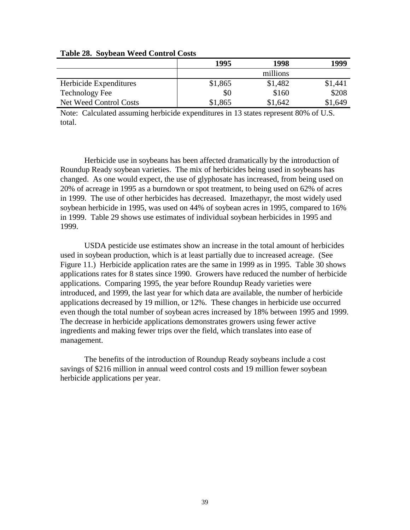|                        | 1995    | 1998     | 1999    |
|------------------------|---------|----------|---------|
|                        |         | millions |         |
| Herbicide Expenditures | \$1,865 | \$1,482  | \$1,441 |
| <b>Technology Fee</b>  | \$0     | \$160    | \$208   |
| Net Weed Control Costs | \$1,865 | \$1,642  | \$1,649 |

#### **Table 28. Soybean Weed Control Costs**

Note: Calculated assuming herbicide expenditures in 13 states represent 80% of U.S. total.

Herbicide use in soybeans has been affected dramatically by the introduction of Roundup Ready soybean varieties. The mix of herbicides being used in soybeans has changed. As one would expect, the use of glyphosate has increased, from being used on 20% of acreage in 1995 as a burndown or spot treatment, to being used on 62% of acres in 1999. The use of other herbicides has decreased. Imazethapyr, the most widely used soybean herbicide in 1995, was used on 44% of soybean acres in 1995, compared to 16% in 1999. Table 29 shows use estimates of individual soybean herbicides in 1995 and 1999.

USDA pesticide use estimates show an increase in the total amount of herbicides used in soybean production, which is at least partially due to increased acreage. (See Figure 11.) Herbicide application rates are the same in 1999 as in 1995. Table 30 shows applications rates for 8 states since 1990. Growers have reduced the number of herbicide applications. Comparing 1995, the year before Roundup Ready varieties were introduced, and 1999, the last year for which data are available, the number of herbicide applications decreased by 19 million, or 12%. These changes in herbicide use occurred even though the total number of soybean acres increased by 18% between 1995 and 1999. The decrease in herbicide applications demonstrates growers using fewer active ingredients and making fewer trips over the field, which translates into ease of management.

The benefits of the introduction of Roundup Ready soybeans include a cost savings of \$216 million in annual weed control costs and 19 million fewer soybean herbicide applications per year.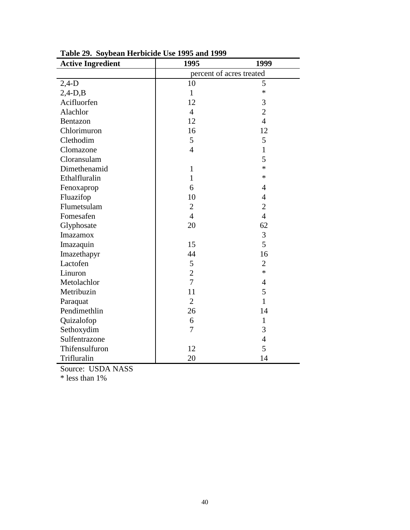| <b>Active Ingredient</b> | 1995                     | 1999           |
|--------------------------|--------------------------|----------------|
|                          | percent of acres treated |                |
| $2,4-D$                  | 10                       | 5              |
| $2,4-D,B$                | $\mathbf{1}$             | $\ast$         |
| Acifluorfen              | 12                       | 3              |
| Alachlor                 | $\overline{4}$           | $\overline{2}$ |
| Bentazon                 | 12                       | $\overline{4}$ |
| Chlorimuron              | 16                       | 12             |
| Clethodim                | 5                        | 5              |
| Clomazone                | $\overline{4}$           | $\mathbf{1}$   |
| Cloransulam              |                          | 5              |
| Dimethenamid             | $\mathbf{1}$             | $\ast$         |
| Ethalfluralin            | $\mathbf{1}$             | $\ast$         |
| Fenoxaprop               | 6                        | 4              |
| Fluazifop                | 10                       | $\overline{4}$ |
| Flumetsulam              | $\mathbf{2}$             | $\overline{2}$ |
| Fomesafen                | $\overline{4}$           | $\overline{4}$ |
| Glyphosate               | 20                       | 62             |
| Imazamox                 |                          | 3              |
| Imazaquin                | 15                       | 5              |
| Imazethapyr              | 44                       | 16             |
| Lactofen                 | 5                        | $\overline{2}$ |
| Linuron                  | $\overline{2}$           | $\ast$         |
| Metolachlor              | $\overline{7}$           | $\overline{4}$ |
| Metribuzin               | 11                       | 5              |
| Paraquat                 | $\overline{2}$           | $\mathbf{1}$   |
| Pendimethlin             | 26                       | 14             |
| Quizalofop               | 6                        | $\mathbf{1}$   |
| Sethoxydim               | 7                        | 3              |
| Sulfentrazone            |                          | $\overline{4}$ |
| Thifensulfuron           | 12                       | 5              |
| Trifluralin              | 20                       | 14             |

**Table 29. Soybean Herbicide Use 1995 and 1999**

Source: USDA NASS

 $\hspace{0.1mm}^*$  less than 1%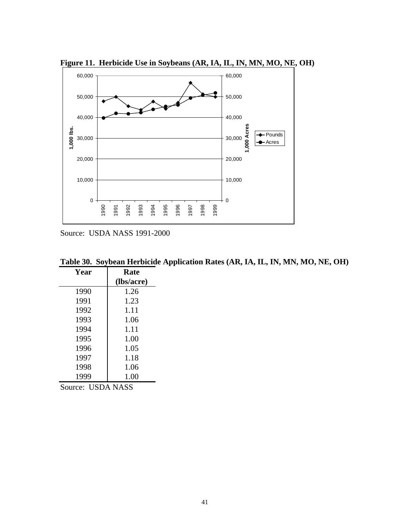

**Figure 11. Herbicide Use in Soybeans (AR, IA, IL, IN, MN, MO, NE, OH)**

Source: USDA NASS 1991-2000

| Table 30. Soybean Herbicide Application Rates (AR, IA, IL, IN, MN, MO, NE, OH) |  |  |  |
|--------------------------------------------------------------------------------|--|--|--|
|                                                                                |  |  |  |

| (lbs/acre)   |  |
|--------------|--|
| 1990<br>1.26 |  |
| 1991<br>1.23 |  |
| 1992<br>1.11 |  |
| 1993<br>1.06 |  |
| 1994<br>1.11 |  |
| 1995<br>1.00 |  |
| 1996<br>1.05 |  |
| 1997<br>1.18 |  |
| 1998<br>1.06 |  |
| 1999<br>1.00 |  |

Source: USDA NASS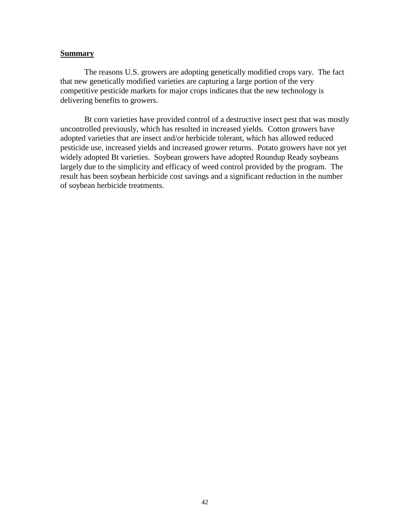### **Summary**

The reasons U.S. growers are adopting genetically modified crops vary. The fact that new genetically modified varieties are capturing a large portion of the very competitive pesticide markets for major crops indicates that the new technology is delivering benefits to growers.

Bt corn varieties have provided control of a destructive insect pest that was mostly uncontrolled previously, which has resulted in increased yields. Cotton growers have adopted varieties that are insect and/or herbicide tolerant, which has allowed reduced pesticide use, increased yields and increased grower returns. Potato growers have not yet widely adopted Bt varieties. Soybean growers have adopted Roundup Ready soybeans largely due to the simplicity and efficacy of weed control provided by the program. The result has been soybean herbicide cost savings and a significant reduction in the number of soybean herbicide treatments.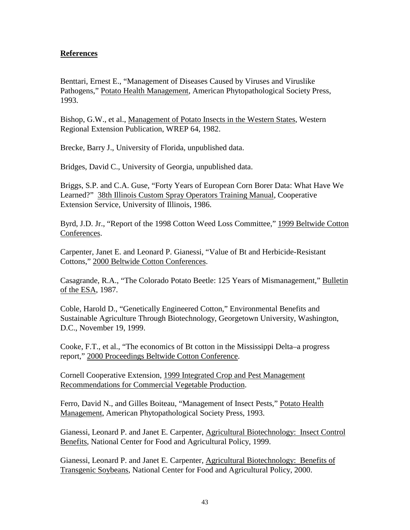# **References**

Benttari, Ernest E., "Management of Diseases Caused by Viruses and Viruslike Pathogens," Potato Health Management, American Phytopathological Society Press, 1993.

Bishop, G.W., et al., Management of Potato Insects in the Western States, Western Regional Extension Publication, WREP 64, 1982.

Brecke, Barry J., University of Florida, unpublished data.

Bridges, David C., University of Georgia, unpublished data.

Briggs, S.P. and C.A. Guse, "Forty Years of European Corn Borer Data: What Have We Learned?" 38th Illinois Custom Spray Operators Training Manual, Cooperative Extension Service, University of Illinois, 1986.

Byrd, J.D. Jr., "Report of the 1998 Cotton Weed Loss Committee," 1999 Beltwide Cotton Conferences.

Carpenter, Janet E. and Leonard P. Gianessi, "Value of Bt and Herbicide-Resistant Cottons," 2000 Beltwide Cotton Conferences.

Casagrande, R.A., "The Colorado Potato Beetle: 125 Years of Mismanagement," Bulletin of the ESA, 1987.

Coble, Harold D., "Genetically Engineered Cotton," Environmental Benefits and Sustainable Agriculture Through Biotechnology, Georgetown University, Washington, D.C., November 19, 1999.

Cooke, F.T., et al., "The economics of Bt cotton in the Mississippi Delta–a progress report," 2000 Proceedings Beltwide Cotton Conference.

Cornell Cooperative Extension, 1999 Integrated Crop and Pest Management Recommendations for Commercial Vegetable Production.

Ferro, David N., and Gilles Boiteau, "Management of Insect Pests," Potato Health Management, American Phytopathological Society Press, 1993.

Gianessi, Leonard P. and Janet E. Carpenter, Agricultural Biotechnology: Insect Control Benefits, National Center for Food and Agricultural Policy, 1999.

Gianessi, Leonard P. and Janet E. Carpenter, Agricultural Biotechnology: Benefits of Transgenic Soybeans, National Center for Food and Agricultural Policy, 2000.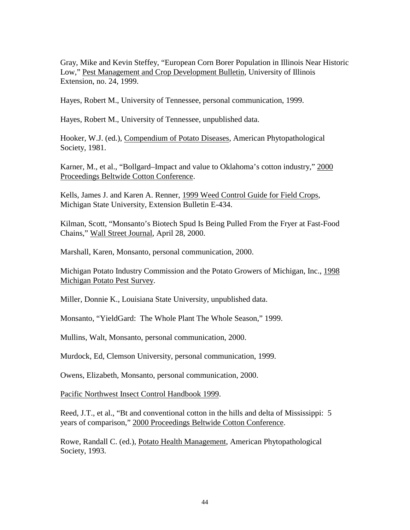Gray, Mike and Kevin Steffey, "European Corn Borer Population in Illinois Near Historic Low," Pest Management and Crop Development Bulletin, University of Illinois Extension, no. 24, 1999.

Hayes, Robert M., University of Tennessee, personal communication, 1999.

Hayes, Robert M., University of Tennessee, unpublished data.

Hooker, W.J. (ed.), Compendium of Potato Diseases, American Phytopathological Society, 1981.

Karner, M., et al., "Bollgard–Impact and value to Oklahoma's cotton industry," 2000 Proceedings Beltwide Cotton Conference.

Kells, James J. and Karen A. Renner, 1999 Weed Control Guide for Field Crops, Michigan State University, Extension Bulletin E-434.

Kilman, Scott, "Monsanto's Biotech Spud Is Being Pulled From the Fryer at Fast-Food Chains," Wall Street Journal, April 28, 2000.

Marshall, Karen, Monsanto, personal communication, 2000.

Michigan Potato Industry Commission and the Potato Growers of Michigan, Inc., 1998 Michigan Potato Pest Survey.

Miller, Donnie K., Louisiana State University, unpublished data.

Monsanto, "YieldGard: The Whole Plant The Whole Season," 1999.

Mullins, Walt, Monsanto, personal communication, 2000.

Murdock, Ed, Clemson University, personal communication, 1999.

Owens, Elizabeth, Monsanto, personal communication, 2000.

Pacific Northwest Insect Control Handbook 1999.

Reed, J.T., et al., "Bt and conventional cotton in the hills and delta of Mississippi: 5 years of comparison," 2000 Proceedings Beltwide Cotton Conference.

Rowe, Randall C. (ed.), Potato Health Management, American Phytopathological Society, 1993.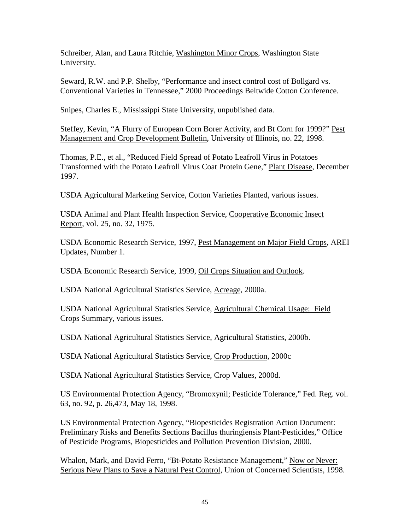Schreiber, Alan, and Laura Ritchie, Washington Minor Crops, Washington State University.

Seward, R.W. and P.P. Shelby, "Performance and insect control cost of Bollgard vs. Conventional Varieties in Tennessee," 2000 Proceedings Beltwide Cotton Conference.

Snipes, Charles E., Mississippi State University, unpublished data.

Steffey, Kevin, "A Flurry of European Corn Borer Activity, and Bt Corn for 1999?" Pest Management and Crop Development Bulletin, University of Illinois, no. 22, 1998.

Thomas, P.E., et al., "Reduced Field Spread of Potato Leafroll Virus in Potatoes Transformed with the Potato Leafroll Virus Coat Protein Gene," Plant Disease, December 1997.

USDA Agricultural Marketing Service, Cotton Varieties Planted, various issues.

USDA Animal and Plant Health Inspection Service, Cooperative Economic Insect Report, vol. 25, no. 32, 1975.

USDA Economic Research Service, 1997, Pest Management on Major Field Crops, AREI Updates, Number 1.

USDA Economic Research Service, 1999, Oil Crops Situation and Outlook.

USDA National Agricultural Statistics Service, Acreage, 2000a.

USDA National Agricultural Statistics Service, Agricultural Chemical Usage: Field Crops Summary, various issues.

USDA National Agricultural Statistics Service, Agricultural Statistics, 2000b.

USDA National Agricultural Statistics Service, Crop Production, 2000c

USDA National Agricultural Statistics Service, Crop Values, 2000d.

US Environmental Protection Agency, "Bromoxynil; Pesticide Tolerance," Fed. Reg. vol. 63, no. 92, p. 26,473, May 18, 1998.

US Environmental Protection Agency, "Biopesticides Registration Action Document: Preliminary Risks and Benefits Sections Bacillus thuringiensis Plant-Pesticides," Office of Pesticide Programs, Biopesticides and Pollution Prevention Division, 2000.

Whalon, Mark, and David Ferro, "Bt-Potato Resistance Management," Now or Never: Serious New Plans to Save a Natural Pest Control, Union of Concerned Scientists, 1998.